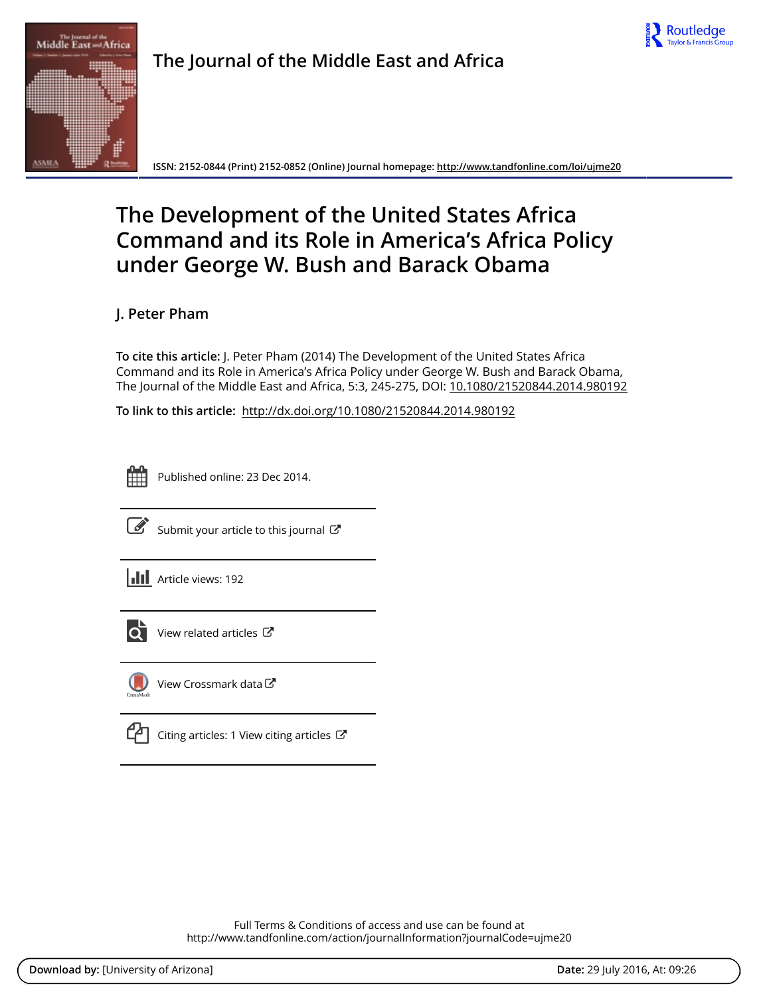



**The Journal of the Middle East and Africa**

**ISSN: 2152-0844 (Print) 2152-0852 (Online) Journal homepage:<http://www.tandfonline.com/loi/ujme20>**

# **The Development of the United States Africa Command and its Role in America's Africa Policy under George W. Bush and Barack Obama**

**J. Peter Pham**

**To cite this article:** J. Peter Pham (2014) The Development of the United States Africa Command and its Role in America's Africa Policy under George W. Bush and Barack Obama, The Journal of the Middle East and Africa, 5:3, 245-275, DOI: [10.1080/21520844.2014.980192](http://www.tandfonline.com/action/showCitFormats?doi=10.1080/21520844.2014.980192)

**To link to this article:** <http://dx.doi.org/10.1080/21520844.2014.980192>



Published online: 23 Dec 2014.



 $\overline{\mathscr{L}}$  [Submit your article to this journal](http://www.tandfonline.com/action/authorSubmission?journalCode=ujme20&page=instructions)  $\mathbb{F}$ 





 $\overline{\mathbf{C}}$  [View related articles](http://www.tandfonline.com/doi/mlt/10.1080/21520844.2014.980192)  $\mathbf{C}$ 



[View Crossmark data](http://crossmark.crossref.org/dialog/?doi=10.1080/21520844.2014.980192&domain=pdf&date_stamp=2014-12-23)  $\mathbb{Z}$ 

[Citing articles: 1 View citing articles](http://www.tandfonline.com/doi/citedby/10.1080/21520844.2014.980192#tabModule)  $\mathbb{Z}$ 

Full Terms & Conditions of access and use can be found at <http://www.tandfonline.com/action/journalInformation?journalCode=ujme20>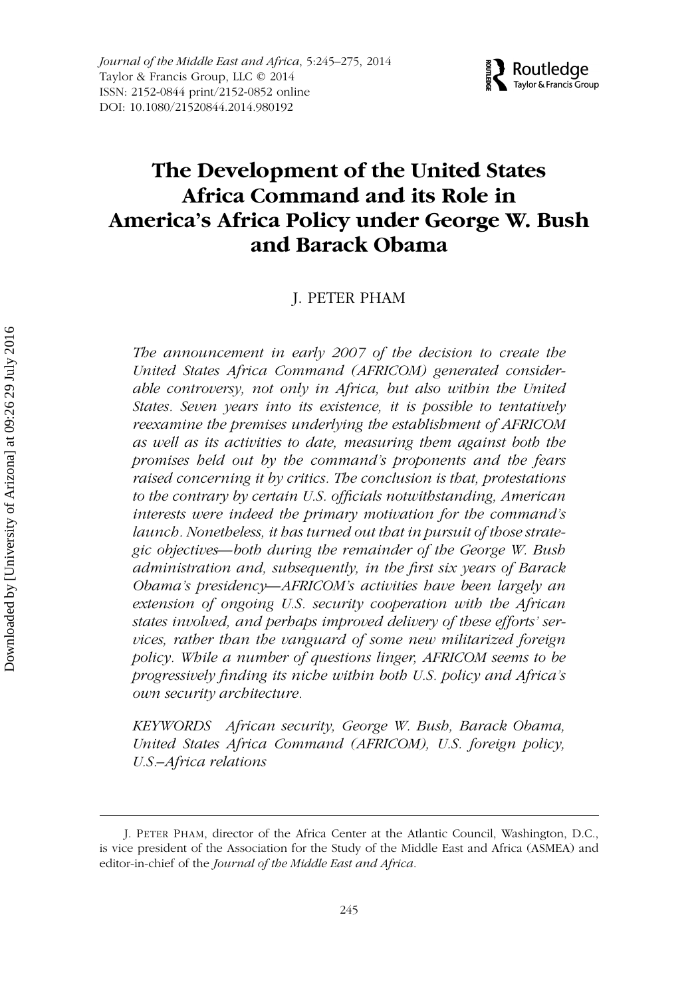

# **The Development of the United States Africa Command and its Role in America's Africa Policy under George W. Bush and Barack Obama**

# J. PETER PHAM

*The announcement in early 2007 of the decision to create the United States Africa Command (AFRICOM) generated considerable controversy, not only in Africa, but also within the United States. Seven years into its existence, it is possible to tentatively reexamine the premises underlying the establishment of AFRICOM as well as its activities to date, measuring them against both the promises held out by the command's proponents and the fears raised concerning it by critics. The conclusion is that, protestations to the contrary by certain U.S. officials notwithstanding, American interests were indeed the primary motivation for the command's launch. Nonetheless, it has turned out that in pursuit of those strategic objectives—both during the remainder of the George W. Bush administration and, subsequently, in the first six years of Barack Obama's presidency—AFRICOM's activities have been largely an extension of ongoing U.S. security cooperation with the African states involved, and perhaps improved delivery of these efforts' services, rather than the vanguard of some new militarized foreign policy. While a number of questions linger, AFRICOM seems to be progressively finding its niche within both U.S. policy and Africa's own security architecture.*

*KEYWORDS African security, George W. Bush, Barack Obama, United States Africa Command (AFRICOM), U.S. foreign policy, U.S.–Africa relations*

J. PETER PHAM, director of the Africa Center at the Atlantic Council, Washington, D.C., is vice president of the Association for the Study of the Middle East and Africa (ASMEA) and editor-in-chief of the *Journal of the Middle East and Africa*.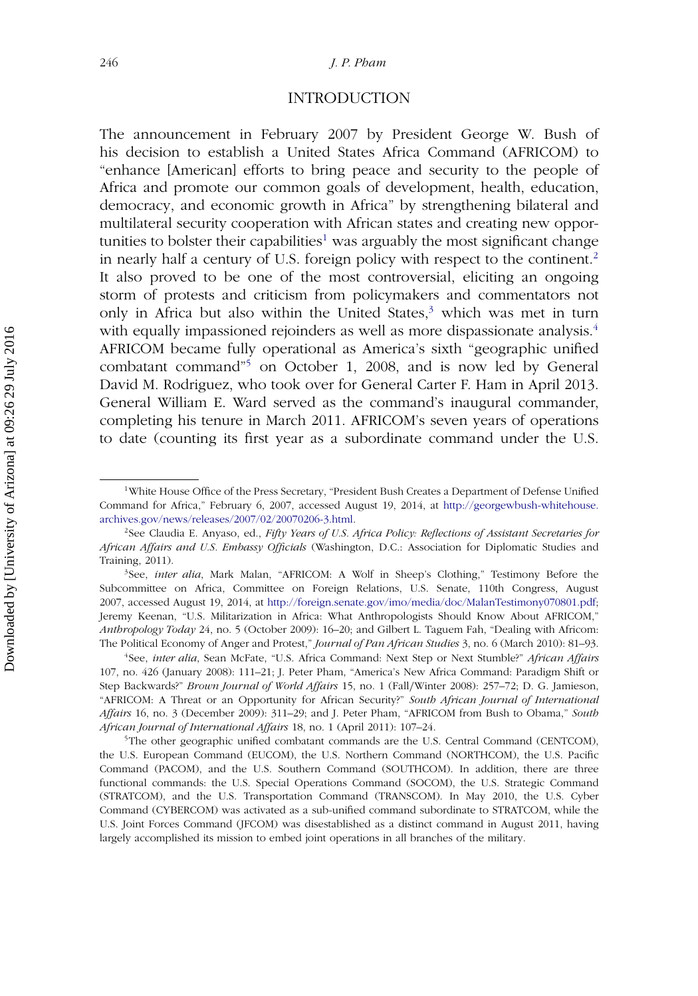#### INTRODUCTION

The announcement in February 2007 by President George W. Bush of his decision to establish a United States Africa Command (AFRICOM) to "enhance [American] efforts to bring peace and security to the people of Africa and promote our common goals of development, health, education, democracy, and economic growth in Africa" by strengthening bilateral and multilateral security cooperation with African states and creating new opportunities to bolster their capabilities<sup>1</sup> was arguably the most significant change in nearly half a century of U.S. foreign policy with respect to the continent.<sup>2</sup> It also proved to be one of the most controversial, eliciting an ongoing storm of protests and criticism from policymakers and commentators not only in Africa but also within the United States, $3$  which was met in turn with equally impassioned rejoinders as well as more dispassionate analysis.<sup>4</sup> AFRICOM became fully operational as America's sixth "geographic unified combatant command"<sup>5</sup> on October 1, 2008, and is now led by General David M. Rodriguez, who took over for General Carter F. Ham in April 2013. General William E. Ward served as the command's inaugural commander, completing his tenure in March 2011. AFRICOM's seven years of operations to date (counting its first year as a subordinate command under the U.S.

<span id="page-2-1"></span>3See, *inter alia*, Mark Malan, "AFRICOM: A Wolf in Sheep's Clothing," Testimony Before the Subcommittee on Africa, Committee on Foreign Relations, U.S. Senate, 110th Congress, August 2007, accessed August 19, 2014, at http://foreign.senate.gov/imo/media/doc/MalanTestimony070801.pdf; Jeremy Keenan, "U.S. Militarization in Africa: What Anthropologists Should Know About AFRICOM," *Anthropology Today* 24, no. 5 (October 2009): 16–20; and Gilbert L. Taguem Fah, "Dealing with Africom: The Political Economy of Anger and Protest," *Journal of Pan African Studies* 3, no. 6 (March 2010): 81–93.

<span id="page-2-2"></span>4See, *inter alia*, Sean McFate, "U.S. Africa Command: Next Step or Next Stumble?" *African Affairs* 107, no. 426 (January 2008): 111–21; J. Peter Pham, "America's New Africa Command: Paradigm Shift or Step Backwards?" *Brown Journal of World Affairs* 15, no. 1 (Fall*/*Winter 2008): 257–72; D. G. Jamieson, "AFRICOM: A Threat or an Opportunity for African Security?" *South African Journal of International Affairs* 16, no. 3 (December 2009): 311–29; and J. Peter Pham, "AFRICOM from Bush to Obama," *South African Journal of International Affairs* 18, no. 1 (April 2011): 107–24.

<span id="page-2-4"></span><span id="page-2-3"></span>5The other geographic unified combatant commands are the U.S. Central Command (CENTCOM), the U.S. European Command (EUCOM), the U.S. Northern Command (NORTHCOM), the U.S. Pacific Command (PACOM), and the U.S. Southern Command (SOUTHCOM). In addition, there are three functional commands: the U.S. Special Operations Command (SOCOM), the U.S. Strategic Command (STRATCOM), and the U.S. Transportation Command (TRANSCOM). In May 2010, the U.S. Cyber Command (CYBERCOM) was activated as a sub-unified command subordinate to STRATCOM, while the U.S. Joint Forces Command (JFCOM) was disestablished as a distinct command in August 2011, having largely accomplished its mission to embed joint operations in all branches of the military.

<sup>1</sup>White House Office of the Press Secretary, "President Bush Creates a Department of Defense Unified Command for Africa," February 6, 2007, accessed August 19, 2014, at [http://georgewbush-whitehouse.](http://georgewbush-whitehouse.archives.gov/news/releases/2007/02/20070206-3.html) [archives.gov/news/releases/2007/02/20070206-3.html.](http://georgewbush-whitehouse.archives.gov/news/releases/2007/02/20070206-3.html)

<span id="page-2-0"></span><sup>2</sup>See Claudia E. Anyaso, ed., *Fifty Years of U.S. Africa Policy: Reflections of Assistant Secretaries for African Affairs and U.S. Embassy Officials* (Washington, D.C.: Association for Diplomatic Studies and Training, 2011).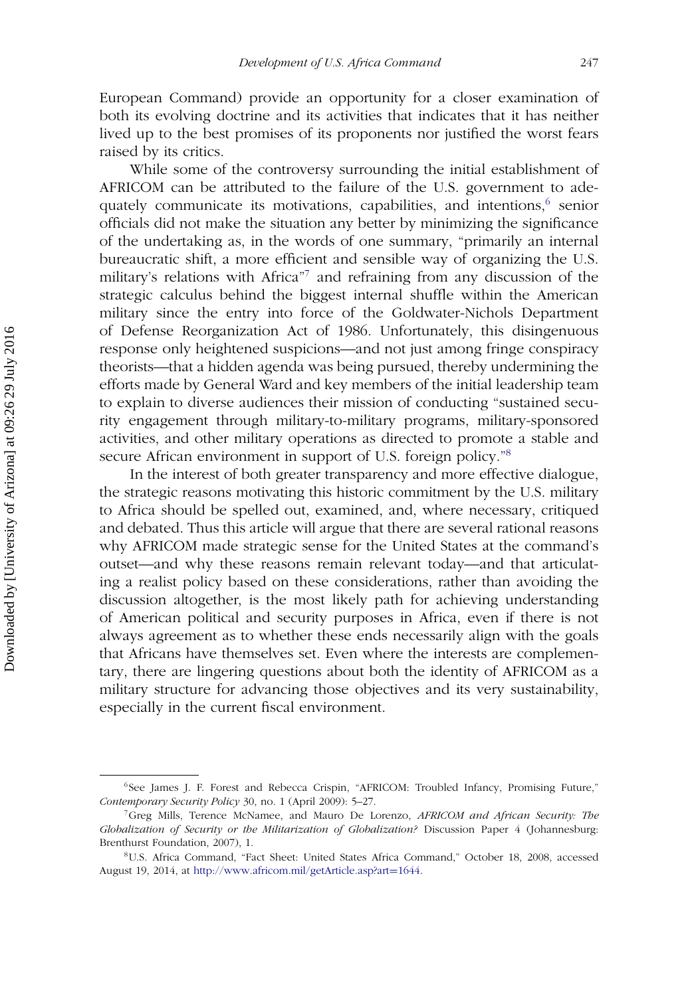European Command) provide an opportunity for a closer examination of both its evolving doctrine and its activities that indicates that it has neither lived up to the best promises of its proponents nor justified the worst fears raised by its critics.

While some of the controversy surrounding the initial establishment of AFRICOM can be attributed to the failure of the U.S. government to adequately communicate its motivations, capabilities, and intentions,<sup>6</sup> senior officials did not make the situation any better by minimizing the significance of the undertaking as, in the words of one summary, "primarily an internal bureaucratic shift, a more efficient and sensible way of organizing the U.S. military's relations with Africa["7](#page-3-1) and refraining from any discussion of the strategic calculus behind the biggest internal shuffle within the American military since the entry into force of the Goldwater-Nichols Department of Defense Reorganization Act of 1986. Unfortunately, this disingenuous response only heightened suspicions—and not just among fringe conspiracy theorists—that a hidden agenda was being pursued, thereby undermining the efforts made by General Ward and key members of the initial leadership team to explain to diverse audiences their mission of conducting "sustained security engagement through military-to-military programs, military-sponsored activities, and other military operations as directed to promote a stable and secure African environment in support of U.S. foreign policy.["8](#page-3-2)

In the interest of both greater transparency and more effective dialogue, the strategic reasons motivating this historic commitment by the U.S. military to Africa should be spelled out, examined, and, where necessary, critiqued and debated. Thus this article will argue that there are several rational reasons why AFRICOM made strategic sense for the United States at the command's outset—and why these reasons remain relevant today—and that articulating a realist policy based on these considerations, rather than avoiding the discussion altogether, is the most likely path for achieving understanding of American political and security purposes in Africa, even if there is not always agreement as to whether these ends necessarily align with the goals that Africans have themselves set. Even where the interests are complementary, there are lingering questions about both the identity of AFRICOM as a military structure for advancing those objectives and its very sustainability, especially in the current fiscal environment.

<sup>&</sup>lt;sup>6</sup>See James J. F. Forest and Rebecca Crispin, "AFRICOM: Troubled Infancy, Promising Future," *Contemporary Security Policy* 30, no. 1 (April 2009): 5–27.

<span id="page-3-0"></span><sup>7</sup>Greg Mills, Terence McNamee, and Mauro De Lorenzo, *AFRICOM and African Security: The Globalization of Security or the Militarization of Globalization?* Discussion Paper 4 (Johannesburg: Brenthurst Foundation, 2007), 1.

<span id="page-3-2"></span><span id="page-3-1"></span><sup>8</sup>U.S. Africa Command, "Fact Sheet: United States Africa Command," October 18, 2008, accessed August 19, 2014, at [http://www.africom.mil/getArticle.asp?art](http://www.africom.mil/getArticle.asp?art=1644)=1644.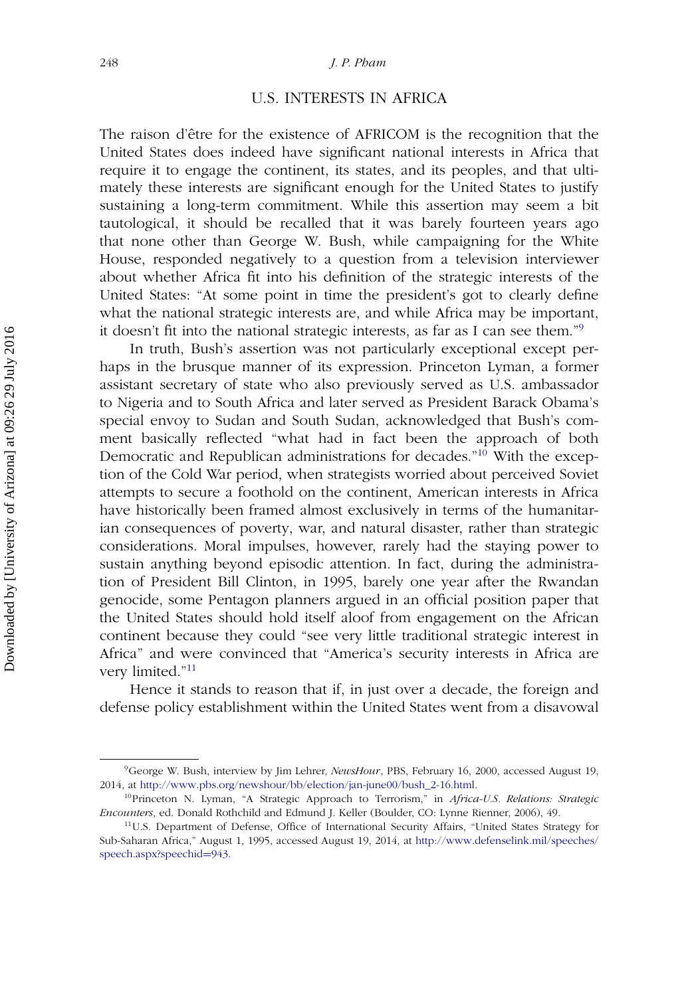# U.S. INTERESTS IN AFRICA

The raison d'être for the existence of AFRICOM is the recognition that the United States does indeed have significant national interests in Africa that require it to engage the continent, its states, and its peoples, and that ultimately these interests are significant enough for the United States to justify sustaining a long-term commitment. While this assertion may seem a bit tautological, it should be recalled that it was barely fourteen years ago that none other than George W. Bush, while campaigning for the White House, responded negatively to a question from a television interviewer about whether Africa fit into his definition of the strategic interests of the United States: "At some point in time the president's got to clearly define what the national strategic interests are, and while Africa may be important, it doesn't fit into the national strategic interests, as far as I can see them.["9](#page-4-0)

In truth, Bush's assertion was not particularly exceptional except perhaps in the brusque manner of its expression. Princeton Lyman, a former assistant secretary of state who also previously served as U.S. ambassador to Nigeria and to South Africa and later served as President Barack Obama's special envoy to Sudan and South Sudan, acknowledged that Bush's comment basically reflected "what had in fact been the approach of both Democratic and Republican administrations for decades.["10](#page-4-1) With the exception of the Cold War period, when strategists worried about perceived Soviet attempts to secure a foothold on the continent, American interests in Africa have historically been framed almost exclusively in terms of the humanitarian consequences of poverty, war, and natural disaster, rather than strategic considerations. Moral impulses, however, rarely had the staying power to sustain anything beyond episodic attention. In fact, during the administration of President Bill Clinton, in 1995, barely one year after the Rwandan genocide, some Pentagon planners argued in an official position paper that the United States should hold itself aloof from engagement on the African continent because they could "see very little traditional strategic interest in Africa" and were convinced that "America's security interests in Africa are very limited."<sup>11</sup>

Hence it stands to reason that if, in just over a decade, the foreign and defense policy establishment within the United States went from a disavowal

<sup>9</sup>George W. Bush, interview by Jim Lehrer, *NewsHour*, PBS, February 16, 2000, accessed August 19, 2014, at [http://www.pbs.org/newshour/bb/election/jan-june00/bush\\_2-16.html.](http://www.pbs.org/newshour/bb/election/jan-june00/bush_2-16.html)

<span id="page-4-0"></span><sup>10</sup>Princeton N. Lyman, "A Strategic Approach to Terrorism," in *Africa-U.S. Relations: Strategic Encounters*, ed. Donald Rothchild and Edmund J. Keller (Boulder, CO: Lynne Rienner, 2006), 49.

<span id="page-4-2"></span><span id="page-4-1"></span><sup>11</sup>U.S. Department of Defense, Office of International Security Affairs, "United States Strategy for Sub-Saharan Africa," August 1, 1995, accessed August 19, 2014, at [http://www.defenselink.mil/speeches/](http://www.defenselink.mil/speeches/speech.aspx?speechid=943) [speech.aspx?speechid](http://www.defenselink.mil/speeches/speech.aspx?speechid=943)=943.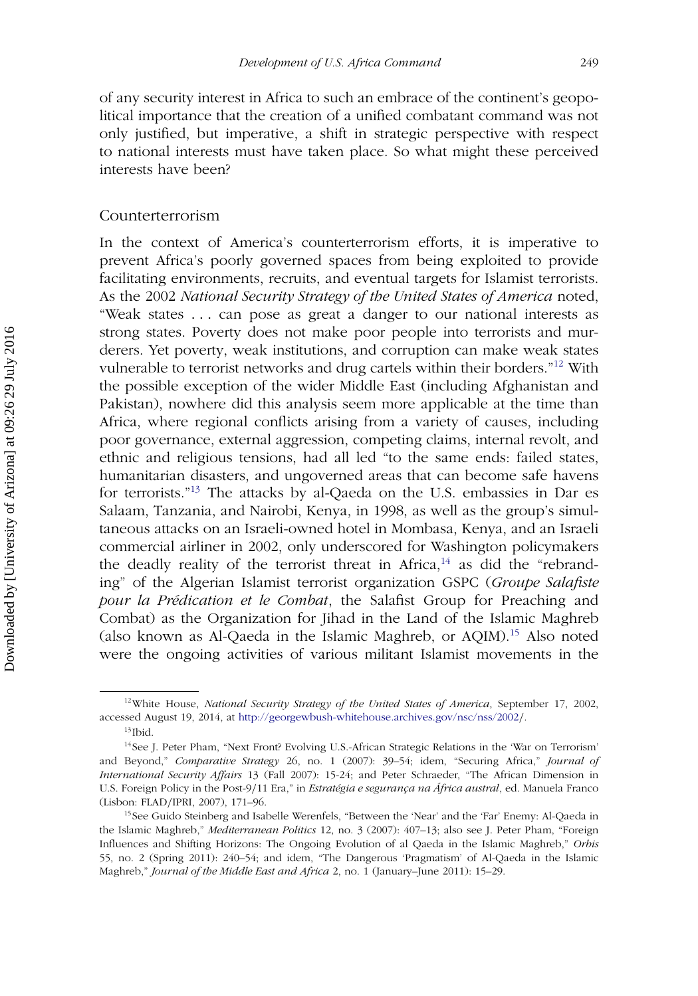of any security interest in Africa to such an embrace of the continent's geopolitical importance that the creation of a unified combatant command was not only justified, but imperative, a shift in strategic perspective with respect to national interests must have taken place. So what might these perceived interests have been?

#### Counterterrorism

In the context of America's counterterrorism efforts, it is imperative to prevent Africa's poorly governed spaces from being exploited to provide facilitating environments, recruits, and eventual targets for Islamist terrorists. As the 2002 *National Security Strategy of the United States of America* noted, "Weak states *...* can pose as great a danger to our national interests as strong states. Poverty does not make poor people into terrorists and murderers. Yet poverty, weak institutions, and corruption can make weak states vulnerable to terrorist networks and drug cartels within their borders.["12](#page-5-0) With the possible exception of the wider Middle East (including Afghanistan and Pakistan), nowhere did this analysis seem more applicable at the time than Africa, where regional conflicts arising from a variety of causes, including poor governance, external aggression, competing claims, internal revolt, and ethnic and religious tensions, had all led "to the same ends: failed states, humanitarian disasters, and ungoverned areas that can become safe havens for terrorists.["13](#page-5-1) The attacks by al-Qaeda on the U.S. embassies in Dar es Salaam, Tanzania, and Nairobi, Kenya, in 1998, as well as the group's simultaneous attacks on an Israeli-owned hotel in Mombasa, Kenya, and an Israeli commercial airliner in 2002, only underscored for Washington policymakers the deadly reality of the terrorist threat in Africa,<sup>14</sup> as did the "rebranding" of the Algerian Islamist terrorist organization GSPC (*Groupe Salafiste pour la Prédication et le Combat*, the Salafist Group for Preaching and Combat) as the Organization for Jihad in the Land of the Islamic Maghreb (also known as Al-Qaeda in the Islamic Maghreb, or  $AQIM$ ).<sup>15</sup> Also noted were the ongoing activities of various militant Islamist movements in the

<sup>12</sup>White House, *National Security Strategy of the United States of America*, September 17, 2002, accessed August 19, 2014, at http://georgewbush-whitehouse.archives.gov/nsc/nss/2002*/*.

<span id="page-5-2"></span><span id="page-5-1"></span><span id="page-5-0"></span> $13$ Ibid.

<sup>&</sup>lt;sup>14</sup>See J. Peter Pham, "Next Front? Evolving U.S.-African Strategic Relations in the 'War on Terrorism' and Beyond," *Comparative Strategy* 26, no. 1 (2007): 39–54; idem, "Securing Africa," *Journal of International Security Affairs* 13 (Fall 2007): 15-24; and Peter Schraeder, "The African Dimension in U.S. Foreign Policy in the Post-9*/*11 Era," in *Estratégia e segurança na África austral*, ed. Manuela Franco (Lisbon: FLAD*/*IPRI, 2007), 171–96.

<span id="page-5-3"></span><sup>&</sup>lt;sup>15</sup>See Guido Steinberg and Isabelle Werenfels, "Between the 'Near' and the 'Far' Enemy: Al-Qaeda in the Islamic Maghreb," *Mediterranean Politics* 12, no. 3 (2007): 407–13; also see J. Peter Pham, "Foreign Influences and Shifting Horizons: The Ongoing Evolution of al Qaeda in the Islamic Maghreb," *Orbis* 55, no. 2 (Spring 2011): 240–54; and idem, "The Dangerous 'Pragmatism' of Al-Qaeda in the Islamic Maghreb," *Journal of the Middle East and Africa* 2, no. 1 (January–June 2011): 15–29.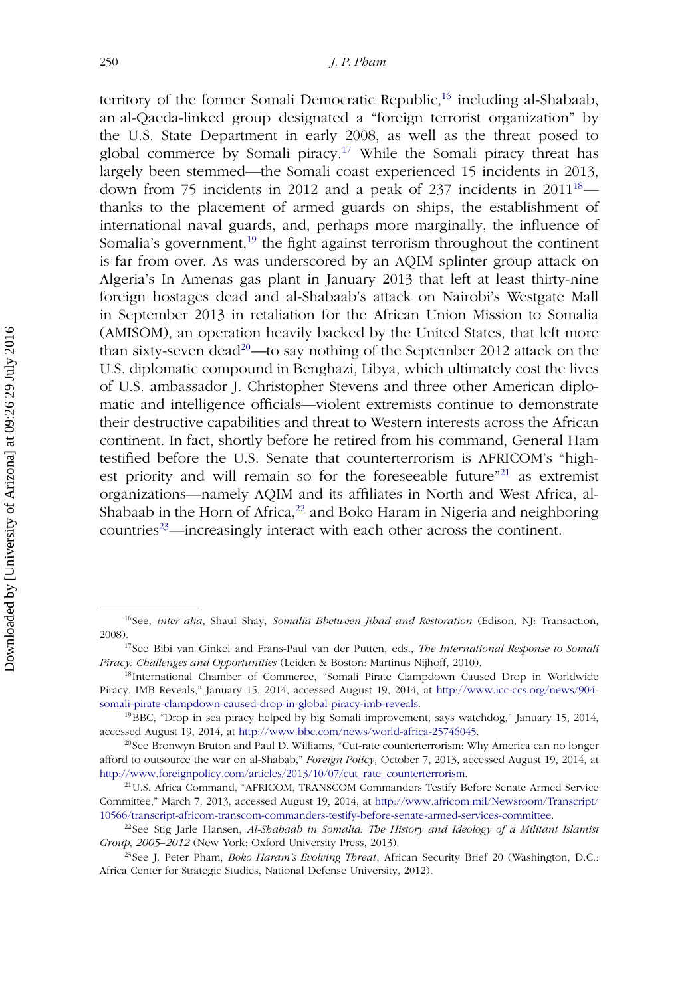territory of the former Somali Democratic Republic, $16$  including al-Shabaab, an al-Qaeda-linked group designated a "foreign terrorist organization" by the U.S. State Department in early 2008, as well as the threat posed to global commerce by Somali piracy[.17](#page-6-1) While the Somali piracy threat has largely been stemmed—the Somali coast experienced 15 incidents in 2013, down from 75 incidents in 2012 and a peak of 237 incidents in  $2011^{18}$  thanks to the placement of armed guards on ships, the establishment of international naval guards, and, perhaps more marginally, the influence of Somalia's government,<sup>19</sup> the fight against terrorism throughout the continent is far from over. As was underscored by an AQIM splinter group attack on Algeria's In Amenas gas plant in January 2013 that left at least thirty-nine foreign hostages dead and al-Shabaab's attack on Nairobi's Westgate Mall in September 2013 in retaliation for the African Union Mission to Somalia (AMISOM), an operation heavily backed by the United States, that left more than sixty-seven dead<sup>20</sup>—to say nothing of the September 2012 attack on the U.S. diplomatic compound in Benghazi, Libya, which ultimately cost the lives of U.S. ambassador J. Christopher Stevens and three other American diplomatic and intelligence officials—violent extremists continue to demonstrate their destructive capabilities and threat to Western interests across the African continent. In fact, shortly before he retired from his command, General Ham testified before the U.S. Senate that counterterrorism is AFRICOM's "highest priority and will remain so for the foreseeable future"<sup>21</sup> as extremist organizations—namely AQIM and its affiliates in North and West Africa, al-Shabaab in the Horn of Africa, $^{22}$  and Boko Haram in Nigeria and neighboring countries<sup>23</sup>—increasingly interact with each other across the continent.

<sup>16</sup>See, *inter alia*, Shaul Shay, *Somalia Bbetween Jihad and Restoration* (Edison, NJ: Transaction, 2008).17See Bibi van Ginkel and Frans-Paul van der Putten, eds., *The International Response to Somali*

<span id="page-6-0"></span>*Piracy: Challenges and Opportunities* (Leiden & Boston: Martinus Nijhoff, 2010).

<span id="page-6-1"></span><sup>18</sup>International Chamber of Commerce, "Somali Pirate Clampdown Caused Drop in Worldwide Piracy, IMB Reveals," January 15, 2014, accessed August 19, 2014, at [http://www.icc-ccs.org/news/904](http://www.icc-ccs.org/news/904-somali-pirate-clampdown-caused-drop-in-global-piracy-imb-reveals) [somali-pirate-clampdown-caused-drop-in-global-piracy-imb-reveals.](http://www.icc-ccs.org/news/904-somali-pirate-clampdown-caused-drop-in-global-piracy-imb-reveals)

<span id="page-6-3"></span><span id="page-6-2"></span><sup>19</sup>BBC, "Drop in sea piracy helped by big Somali improvement, says watchdog," January 15, 2014, accessed August 19, 2014, at [http://www.bbc.com/news/world-africa-25746045.](http://www.bbc.com/news/world-africa-25746045)

<sup>&</sup>lt;sup>20</sup>See Bronwyn Bruton and Paul D. Williams, "Cut-rate counterterrorism: Why America can no longer afford to outsource the war on al-Shabab," *Foreign Policy*, October 7, 2013, accessed August 19, 2014, at [http://www.foreignpolicy.com/articles/2013/10/07/cut\\_rate\\_counterterrorism.](http://www.foreignpolicy.com/articles/2013/10/07/cut_rate_counterterrorism)

<span id="page-6-4"></span><sup>&</sup>lt;sup>21</sup>U.S. Africa Command, "AFRICOM, TRANSCOM Commanders Testify Before Senate Armed Service Committee," March 7, 2013, accessed August 19, 2014, at [http://www.africom.mil/Newsroom/Transcript/](http://www.africom.mil/Newsroom/Transcript/10566/transcript-africom-transcom-commanders-testify-before-senate-armed-services-committee) [10566/transcript-africom-transcom-commanders-testify-before-senate-armed-services-committee.](http://www.africom.mil/Newsroom/Transcript/10566/transcript-africom-transcom-commanders-testify-before-senate-armed-services-committee)

<span id="page-6-6"></span><span id="page-6-5"></span><sup>22</sup>See Stig Jarle Hansen, *Al-Shabaab in Somalia: The History and Ideology of a Militant Islamist Group, 2005–2012* (New York: Oxford University Press, 2013).

<span id="page-6-7"></span><sup>23</sup>See J. Peter Pham, *Boko Haram's Evolving Threat*, African Security Brief 20 (Washington, D.C.: Africa Center for Strategic Studies, National Defense University, 2012).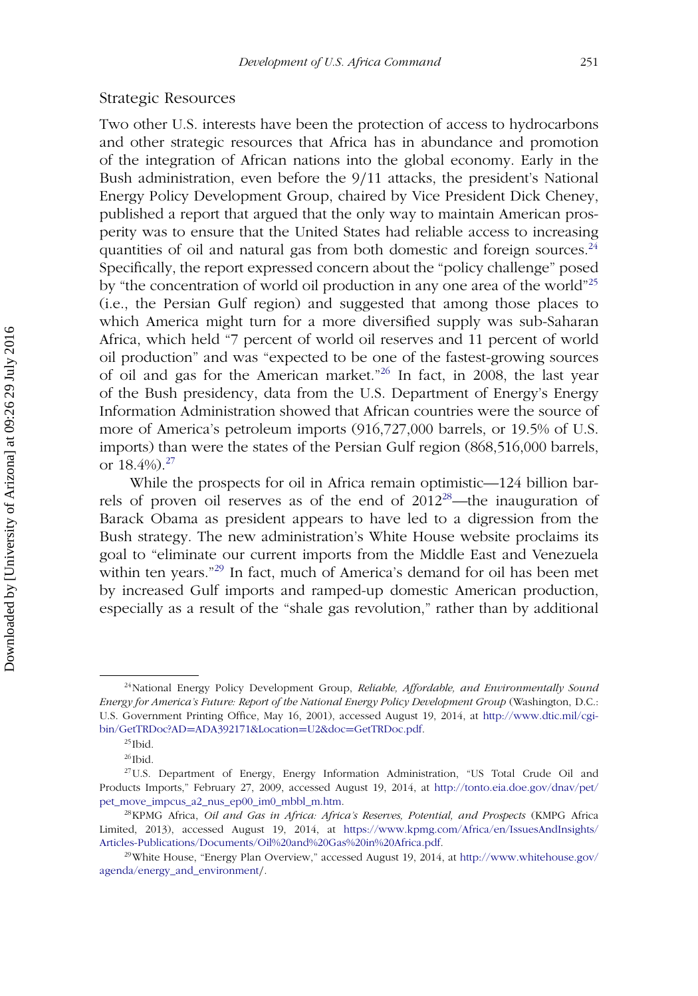#### Strategic Resources

Two other U.S. interests have been the protection of access to hydrocarbons and other strategic resources that Africa has in abundance and promotion of the integration of African nations into the global economy. Early in the Bush administration, even before the 9*/*11 attacks, the president's National Energy Policy Development Group, chaired by Vice President Dick Cheney, published a report that argued that the only way to maintain American prosperity was to ensure that the United States had reliable access to increasing quantities of oil and natural gas from both domestic and foreign sources.<sup>24</sup> Specifically, the report expressed concern about the "policy challenge" posed by "the concentration of world oil production in any one area of the world["25](#page-7-1) (i.e., the Persian Gulf region) and suggested that among those places to which America might turn for a more diversified supply was sub-Saharan Africa, which held "7 percent of world oil reserves and 11 percent of world oil production" and was "expected to be one of the fastest-growing sources of oil and gas for the American market.["26](#page-7-2) In fact, in 2008, the last year of the Bush presidency, data from the U.S. Department of Energy's Energy Information Administration showed that African countries were the source of more of America's petroleum imports (916,727,000 barrels, or 19.5% of U.S. imports) than were the states of the Persian Gulf region (868,516,000 barrels, or  $18.4\%$ ).<sup>27</sup>

While the prospects for oil in Africa remain optimistic—124 billion barrels of proven oil reserves as of the end of  $2012^{28}$ —the inauguration of Barack Obama as president appears to have led to a digression from the Bush strategy. The new administration's White House website proclaims its goal to "eliminate our current imports from the Middle East and Venezuela within ten years.["29](#page-7-5) In fact, much of America's demand for oil has been met by increased Gulf imports and ramped-up domestic American production, especially as a result of the "shale gas revolution," rather than by additional

<sup>24</sup>National Energy Policy Development Group, *Reliable, Affordable, and Environmentally Sound Energy for America's Future: Report of the National Energy Policy Development Group* (Washington, D.C.: U.S. Government Printing Office, May 16, 2001), accessed August 19, 2014, at [http://www.dtic.mil/cgi](http://www.dtic.mil/cgi-bin/GetTRDoc?AD=ADA392171&Location=U2&doc=GetTRDoc.pdf)bin/GetTRDoc?AD=[ADA392171&Location](http://www.dtic.mil/cgi-bin/GetTRDoc?AD=ADA392171&Location=U2&doc=GetTRDoc.pdf)=U2&doc=GetTRDoc.pdf.

<span id="page-7-0"></span> $25$ Ibid.

<span id="page-7-4"></span><span id="page-7-3"></span><span id="page-7-2"></span><span id="page-7-1"></span><sup>26</sup>Ibid.

<sup>27</sup>U.S. Department of Energy, Energy Information Administration, "US Total Crude Oil and Products Imports," February 27, 2009, accessed August 19, 2014, at [http://tonto.eia.doe.gov/dnav/pet/](http://tonto.eia.doe.gov/dnav/pet/pet_move_impcus_a2_nus_ep00_im0_mbbl_m.htm) [pet\\_move\\_impcus\\_a2\\_nus\\_ep00\\_im0\\_mbbl\\_m.htm.](http://tonto.eia.doe.gov/dnav/pet/pet_move_impcus_a2_nus_ep00_im0_mbbl_m.htm)

<sup>28</sup>KPMG Africa, *Oil and Gas in Africa: Africa's Reserves, Potential, and Prospects* (KMPG Africa Limited, 2013), accessed August 19, 2014, at [https://www.kpmg.com/Africa/en/IssuesAndInsights/](https://www.kpmg.com/Africa/en/IssuesAndInsights/Articles-Publications/Documents/Oil%20and%20Gas%20in%20Africa.pdf) [Articles-Publications/Documents/Oil%20and%20Gas%20in%20Africa.pdf.](https://www.kpmg.com/Africa/en/IssuesAndInsights/Articles-Publications/Documents/Oil%20and%20Gas%20in%20Africa.pdf)

<span id="page-7-5"></span><sup>29</sup>White House, "Energy Plan Overview," accessed August 19, 2014, at [http://www.whitehouse.gov/](http://www.whitehouse.gov/agenda/energy_and_environment) [agenda/energy\\_and\\_environment](http://www.whitehouse.gov/agenda/energy_and_environment)*/*.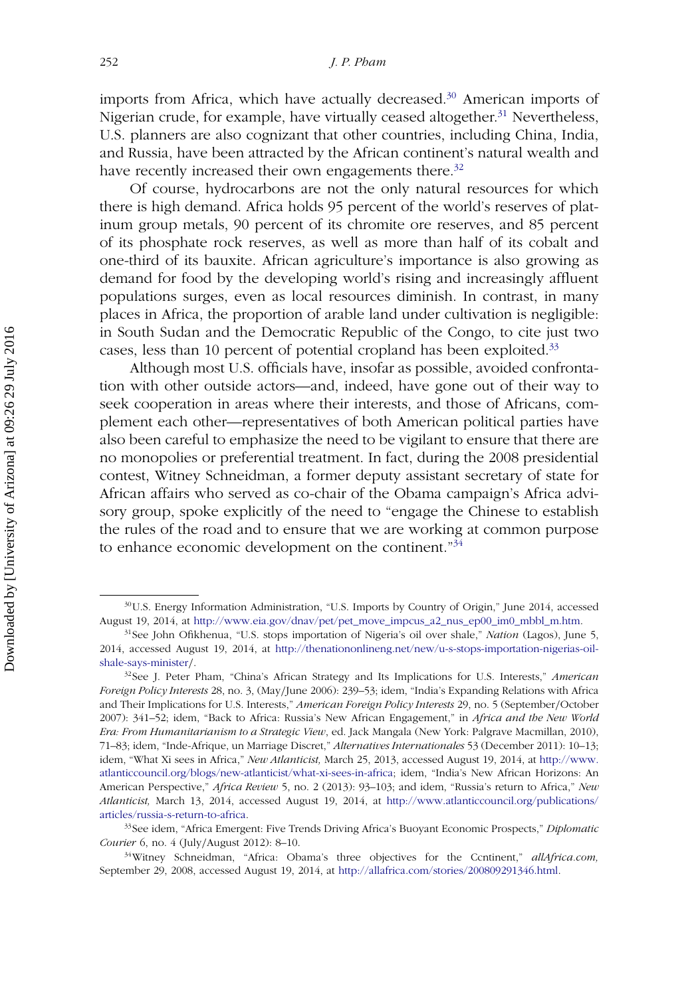imports from Africa, which have actually decreased. $30$  American imports of Nigerian crude, for example, have virtually ceased altogether.<sup>31</sup> Nevertheless, U.S. planners are also cognizant that other countries, including China, India, and Russia, have been attracted by the African continent's natural wealth and have recently increased their own engagements there.<sup>32</sup>

Of course, hydrocarbons are not the only natural resources for which there is high demand. Africa holds 95 percent of the world's reserves of platinum group metals, 90 percent of its chromite ore reserves, and 85 percent of its phosphate rock reserves, as well as more than half of its cobalt and one-third of its bauxite. African agriculture's importance is also growing as demand for food by the developing world's rising and increasingly affluent populations surges, even as local resources diminish. In contrast, in many places in Africa, the proportion of arable land under cultivation is negligible: in South Sudan and the Democratic Republic of the Congo, to cite just two cases, less than 10 percent of potential cropland has been exploited.<sup>33</sup>

Although most U.S. officials have, insofar as possible, avoided confrontation with other outside actors—and, indeed, have gone out of their way to seek cooperation in areas where their interests, and those of Africans, complement each other—representatives of both American political parties have also been careful to emphasize the need to be vigilant to ensure that there are no monopolies or preferential treatment. In fact, during the 2008 presidential contest, Witney Schneidman, a former deputy assistant secretary of state for African affairs who served as co-chair of the Obama campaign's Africa advisory group, spoke explicitly of the need to "engage the Chinese to establish the rules of the road and to ensure that we are working at common purpose to enhance economic development on the continent."<sup>34</sup>

<span id="page-8-0"></span><sup>30</sup>U.S. Energy Information Administration, "U.S. Imports by Country of Origin," June 2014, accessed August 19, 2014, at [http://www.eia.gov/dnav/pet/pet\\_move\\_impcus\\_a2\\_nus\\_ep00\\_im0\\_mbbl\\_m.htm.](http://www.eia.gov/dnav/pet/pet_move_impcus_a2_nus_ep00_im0_mbbl_m.htm)

<sup>31</sup>See John Ofikhenua, "U.S. stops importation of Nigeria's oil over shale," *Nation* (Lagos), June 5, 2014, accessed August 19, 2014, at [http://thenationonlineng.net/new/u-s-stops-importation-nigerias-oil](http://thenationonlineng.net/new/u-s-stops-importation-nigerias-oil-shale-says-minister)[shale-says-minister](http://thenationonlineng.net/new/u-s-stops-importation-nigerias-oil-shale-says-minister)*/*.

<span id="page-8-1"></span><sup>32</sup>See J. Peter Pham, "China's African Strategy and Its Implications for U.S. Interests," *American Foreign Policy Interests* 28, no. 3, (May*/*June 2006): 239–53; idem, "India's Expanding Relations with Africa and Their Implications for U.S. Interests," *American Foreign Policy Interests* 29, no. 5 (September*/*October 2007): 341–52; idem, "Back to Africa: Russia's New African Engagement," in *Africa and the New World Era: From Humanitarianism to a Strategic View*, ed. Jack Mangala (New York: Palgrave Macmillan, 2010), 71–83; idem, "Inde-Afrique, un Marriage Discret," *Alternatives Internationales* 53 (December 2011): 10–13; idem, "What Xi sees in Africa," *New Atlanticist,* March 25, 2013, accessed August 19, 2014, at [http://www.](http://www.atlanticcouncil.org/blogs/new-atlanticist/what-xi-sees-in-africa) [atlanticcouncil.org/blogs/new-atlanticist/what-xi-sees-in-africa;](http://www.atlanticcouncil.org/blogs/new-atlanticist/what-xi-sees-in-africa) idem, "India's New African Horizons: An American Perspective," *Africa Review* 5, no. 2 (2013): 93–103; and idem, "Russia's return to Africa," *New Atlanticist,* March 13, 2014, accessed August 19, 2014, at [http://www.atlanticcouncil.org/publications/](http://www.atlanticcouncil.org/publications/articles/russia-s-return-to-africa) [articles/russia-s-return-to-africa.](http://www.atlanticcouncil.org/publications/articles/russia-s-return-to-africa)

<span id="page-8-2"></span><sup>33</sup>See idem, "Africa Emergent: Five Trends Driving Africa's Buoyant Economic Prospects," *Diplomatic Courier* 6, no. 4 (July*/*August 2012): 8–10.

<span id="page-8-4"></span><span id="page-8-3"></span><sup>34</sup>Witney Schneidman, "Africa: Obama's three objectives for the Ccntinent," *allAfrica.com,* September 29, 2008, accessed August 19, 2014, at [http://allafrica.com/stories/200809291346.html.](http://allafrica.com/stories/200809291346.html)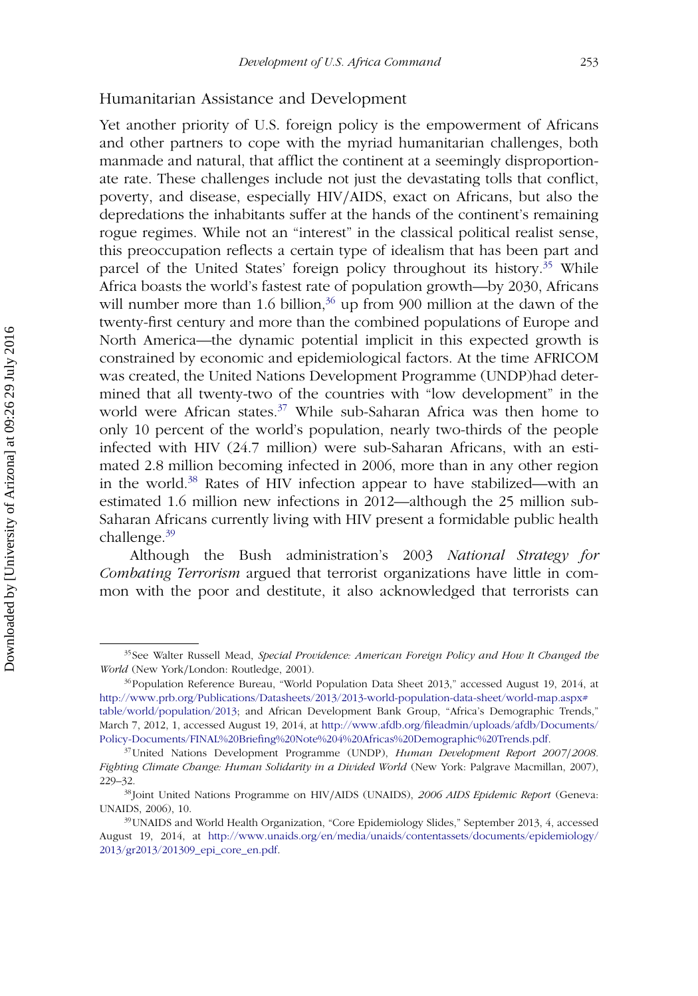# Humanitarian Assistance and Development

Yet another priority of U.S. foreign policy is the empowerment of Africans and other partners to cope with the myriad humanitarian challenges, both manmade and natural, that afflict the continent at a seemingly disproportionate rate. These challenges include not just the devastating tolls that conflict, poverty, and disease, especially HIV*/*AIDS, exact on Africans, but also the depredations the inhabitants suffer at the hands of the continent's remaining rogue regimes. While not an "interest" in the classical political realist sense, this preoccupation reflects a certain type of idealism that has been part and parcel of the United States' foreign policy throughout its history.<sup>35</sup> While Africa boasts the world's fastest rate of population growth—by 2030, Africans will number more than 1.6 billion,  $36 \text{ up from } 900$  million at the dawn of the twenty-first century and more than the combined populations of Europe and North America—the dynamic potential implicit in this expected growth is constrained by economic and epidemiological factors. At the time AFRICOM was created, the United Nations Development Programme (UNDP)had determined that all twenty-two of the countries with "low development" in the world were African states.<sup>37</sup> While sub-Saharan Africa was then home to only 10 percent of the world's population, nearly two-thirds of the people infected with HIV (24.7 million) were sub-Saharan Africans, with an estimated 2.8 million becoming infected in 2006, more than in any other region in the world[.38](#page-9-3) Rates of HIV infection appear to have stabilized—with an estimated 1.6 million new infections in 2012—although the 25 million sub-Saharan Africans currently living with HIV present a formidable public health challenge.<sup>39</sup>

Although the Bush administration's 2003 *National Strategy for Combating Terrorism* argued that terrorist organizations have little in common with the poor and destitute, it also acknowledged that terrorists can

<sup>35</sup>See Walter Russell Mead, *Special Providence: American Foreign Policy and How It Changed the World* (New York*/*London: Routledge, 2001).

<span id="page-9-0"></span><sup>&</sup>lt;sup>36</sup>Population Reference Bureau, "World Population Data Sheet 2013," accessed August 19, 2014, at [http://www.prb.org/Publications/Datasheets/2013/2013-world-population-data-sheet/world-map.aspx#](http://www.prb.org/Publications/Datasheets/2013/2013-world-population-data-sheet/world-map.aspx#table/world/population/2013) [table/world/population/2013](http://www.prb.org/Publications/Datasheets/2013/2013-world-population-data-sheet/world-map.aspx#table/world/population/2013); and African Development Bank Group, "Africa's Demographic Trends," March 7, 2012, 1, accessed August 19, 2014, at [http://www.afdb.org/fileadmin/uploads/afdb/Documents/](http://www.afdb.org/fileadmin/uploads/afdb/Documents/Policy-Documents/FINAL%20Briefing%20Note%204%20Africas%20Demographic%20Trends.pdf) [Policy-Documents/FINAL%20Briefing%20Note%204%20Africas%20Demographic%20Trends.pdf.](http://www.afdb.org/fileadmin/uploads/afdb/Documents/Policy-Documents/FINAL%20Briefing%20Note%204%20Africas%20Demographic%20Trends.pdf)

<span id="page-9-1"></span><sup>37</sup>United Nations Development Programme (UNDP), *Human Development Report 2007/2008. Fighting Climate Change: Human Solidarity in a Divided World* (New York: Palgrave Macmillan, 2007), 229–32.

<span id="page-9-2"></span><sup>38</sup>Joint United Nations Programme on HIV*/*AIDS (UNAIDS), *2006 AIDS Epidemic Report* (Geneva: UNAIDS, 2006), 10.

<span id="page-9-4"></span><span id="page-9-3"></span><sup>39</sup>UNAIDS and World Health Organization, "Core Epidemiology Slides," September 2013, 4, accessed August 19, 2014, at [http://www.unaids.org/en/media/unaids/contentassets/documents/epidemiology/](http://www.unaids.org/en/media/unaids/contentassets/documents/epidemiology/2013/gr2013/201309_epi_core_en.pdf) [2013/gr2013/201309\\_epi\\_core\\_en.pdf.](http://www.unaids.org/en/media/unaids/contentassets/documents/epidemiology/2013/gr2013/201309_epi_core_en.pdf)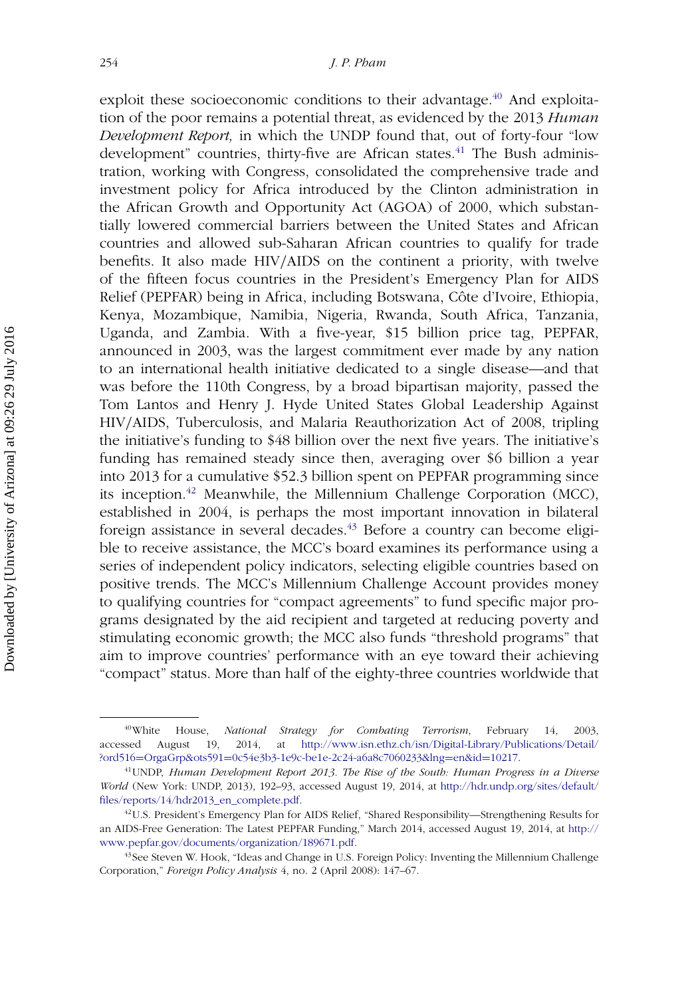exploit these socioeconomic conditions to their advantage.<sup>40</sup> And exploitation of the poor remains a potential threat, as evidenced by the 2013 *Human Development Report,* in which the UNDP found that, out of forty-four "low development" countries, thirty-five are African states.<sup>41</sup> The Bush administration, working with Congress, consolidated the comprehensive trade and investment policy for Africa introduced by the Clinton administration in the African Growth and Opportunity Act (AGOA) of 2000, which substantially lowered commercial barriers between the United States and African countries and allowed sub-Saharan African countries to qualify for trade benefits. It also made HIV*/*AIDS on the continent a priority, with twelve of the fifteen focus countries in the President's Emergency Plan for AIDS Relief (PEPFAR) being in Africa, including Botswana, Côte d'Ivoire, Ethiopia, Kenya, Mozambique, Namibia, Nigeria, Rwanda, South Africa, Tanzania, Uganda, and Zambia. With a five-year, \$15 billion price tag, PEPFAR, announced in 2003, was the largest commitment ever made by any nation to an international health initiative dedicated to a single disease—and that was before the 110th Congress, by a broad bipartisan majority, passed the Tom Lantos and Henry J. Hyde United States Global Leadership Against HIV*/*AIDS, Tuberculosis, and Malaria Reauthorization Act of 2008, tripling the initiative's funding to \$48 billion over the next five years. The initiative's funding has remained steady since then, averaging over \$6 billion a year into 2013 for a cumulative \$52.3 billion spent on PEPFAR programming since its inception. $42$  Meanwhile, the Millennium Challenge Corporation (MCC), established in 2004, is perhaps the most important innovation in bilateral foreign assistance in several decades.<sup>43</sup> Before a country can become eligible to receive assistance, the MCC's board examines its performance using a series of independent policy indicators, selecting eligible countries based on positive trends. The MCC's Millennium Challenge Account provides money to qualifying countries for "compact agreements" to fund specific major programs designated by the aid recipient and targeted at reducing poverty and stimulating economic growth; the MCC also funds "threshold programs" that aim to improve countries' performance with an eye toward their achieving "compact" status. More than half of the eighty-three countries worldwide that

<sup>40</sup>White House, *National Strategy for Combating Terrorism*, February 14, 2003, accessed August 19, 2014, at [http://www.isn.ethz.ch/isn/Digital-Library/Publications/Detail/](http://www.isn.ethz.ch/isn/Digital-Library/Publications/Detail/?ord516=OrgaGrp&ots591=0c54e3b3-1e9c-be1e-2c24-a6a8c7060233&lng=en&id=10217) ?ord516=OrgaGrp&ots591=[0c54e3b3-1e9c-be1e-2c24-a6a8c7060233&lng](http://www.isn.ethz.ch/isn/Digital-Library/Publications/Detail/?ord516=OrgaGrp&ots591=0c54e3b3-1e9c-be1e-2c24-a6a8c7060233&lng=en&id=10217)=en&id=10217. 41UNDP, *Human Development Report 2013. The Rise of the South: Human Progress in a Diverse*

<span id="page-10-0"></span>*World* (New York: UNDP, 2013), 192–93, accessed August 19, 2014, at [http://hdr.undp.org/sites/default/](http://hdr.undp.org/sites/default/files/reports/14/hdr2013_en_complete.pdf) [files/reports/14/hdr2013\\_en\\_complete.pdf.](http://hdr.undp.org/sites/default/files/reports/14/hdr2013_en_complete.pdf)

<span id="page-10-1"></span> $42$ U.S. President's Emergency Plan for AIDS Relief, "Shared Responsibility—Strengthening Results for an AIDS-Free Generation: The Latest PEPFAR Funding," March 2014, accessed August 19, 2014, at [http://](http://www.pepfar.gov/documents/organization/189671.pdf) [www.pepfar.gov/documents/organization/189671.pdf.](http://www.pepfar.gov/documents/organization/189671.pdf)

<span id="page-10-3"></span><span id="page-10-2"></span><sup>43</sup>See Steven W. Hook, "Ideas and Change in U.S. Foreign Policy: Inventing the Millennium Challenge Corporation," *Foreign Policy Analysis* 4, no. 2 (April 2008): 147–67.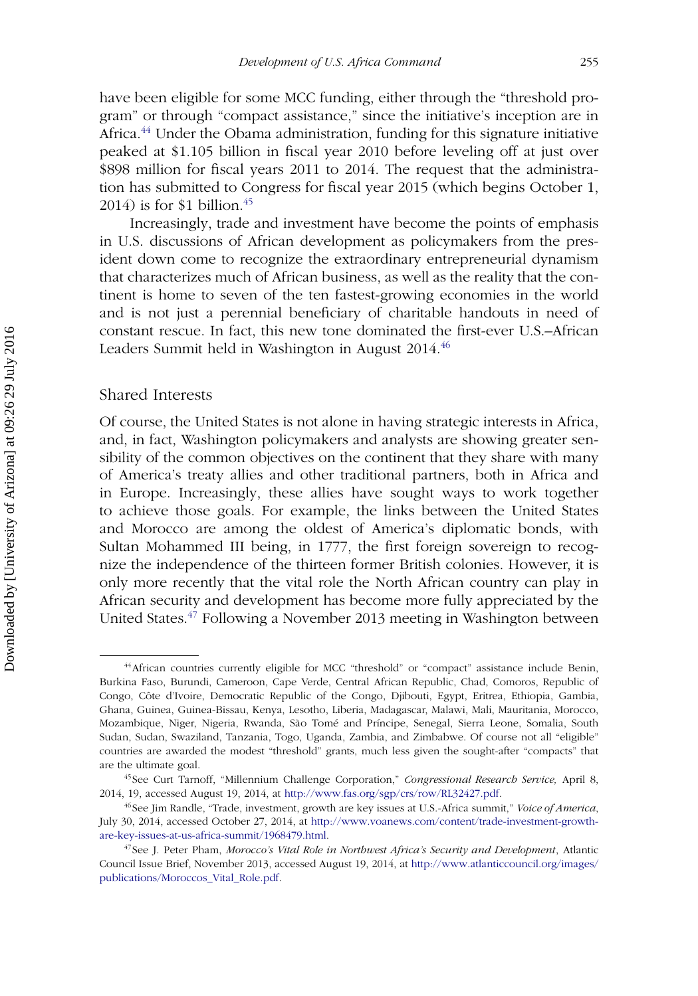have been eligible for some MCC funding, either through the "threshold program" or through "compact assistance," since the initiative's inception are in Africa.<sup>44</sup> Under the Obama administration, funding for this signature initiative peaked at \$1.105 billion in fiscal year 2010 before leveling off at just over \$898 million for fiscal years 2011 to 2014. The request that the administration has submitted to Congress for fiscal year 2015 (which begins October 1,  $2014$ ) is for \$1 billion.<sup>45</sup>

Increasingly, trade and investment have become the points of emphasis in U.S. discussions of African development as policymakers from the president down come to recognize the extraordinary entrepreneurial dynamism that characterizes much of African business, as well as the reality that the continent is home to seven of the ten fastest-growing economies in the world and is not just a perennial beneficiary of charitable handouts in need of constant rescue. In fact, this new tone dominated the first-ever U.S.–African Leaders Summit held in Washington in August 2014.<sup>46</sup>

## Shared Interests

Of course, the United States is not alone in having strategic interests in Africa, and, in fact, Washington policymakers and analysts are showing greater sensibility of the common objectives on the continent that they share with many of America's treaty allies and other traditional partners, both in Africa and in Europe. Increasingly, these allies have sought ways to work together to achieve those goals. For example, the links between the United States and Morocco are among the oldest of America's diplomatic bonds, with Sultan Mohammed III being, in 1777, the first foreign sovereign to recognize the independence of the thirteen former British colonies. However, it is only more recently that the vital role the North African country can play in African security and development has become more fully appreciated by the United States.<sup>47</sup> Following a November 2013 meeting in Washington between

<sup>44</sup>African countries currently eligible for MCC "threshold" or "compact" assistance include Benin, Burkina Faso, Burundi, Cameroon, Cape Verde, Central African Republic, Chad, Comoros, Republic of Congo, Côte d'Ivoire, Democratic Republic of the Congo, Djibouti, Egypt, Eritrea, Ethiopia, Gambia, Ghana, Guinea, Guinea-Bissau, Kenya, Lesotho, Liberia, Madagascar, Malawi, Mali, Mauritania, Morocco, Mozambique, Niger, Nigeria, Rwanda, São Tomé and Príncipe, Senegal, Sierra Leone, Somalia, South Sudan, Sudan, Swaziland, Tanzania, Togo, Uganda, Zambia, and Zimbabwe. Of course not all "eligible" countries are awarded the modest "threshold" grants, much less given the sought-after "compacts" that are the ultimate goal.

<span id="page-11-0"></span><sup>45</sup>See Curt Tarnoff, "Millennium Challenge Corporation," *Congressional Research Service,* April 8, 2014, 19, accessed August 19, 2014, at [http://www.fas.org/sgp/crs/row/RL32427.pdf.](http://www.fas.org/sgp/crs/row/RL32427.pdf)

<span id="page-11-1"></span><sup>46</sup>See Jim Randle, "Trade, investment, growth are key issues at U.S.-Africa summit," *Voice of America*, July 30, 2014, accessed October 27, 2014, at [http://www.voanews.com/content/trade-investment-growth](http://www.voanews.com/content/trade-investment-growth-are-key-issues-at-us-africa-summit/1968479.html)[are-key-issues-at-us-africa-summit/1968479.html.](http://www.voanews.com/content/trade-investment-growth-are-key-issues-at-us-africa-summit/1968479.html)

<span id="page-11-3"></span><span id="page-11-2"></span><sup>47</sup>See J. Peter Pham, *Morocco's Vital Role in Northwest Africa's Security and Development*, Atlantic Council Issue Brief, November 2013, accessed August 19, 2014, at [http://www.atlanticcouncil.org/images/](http://www.atlanticcouncil.org/images/publications/Moroccos_Vital_Role.pdf) [publications/Moroccos\\_Vital\\_Role.pdf.](http://www.atlanticcouncil.org/images/publications/Moroccos_Vital_Role.pdf)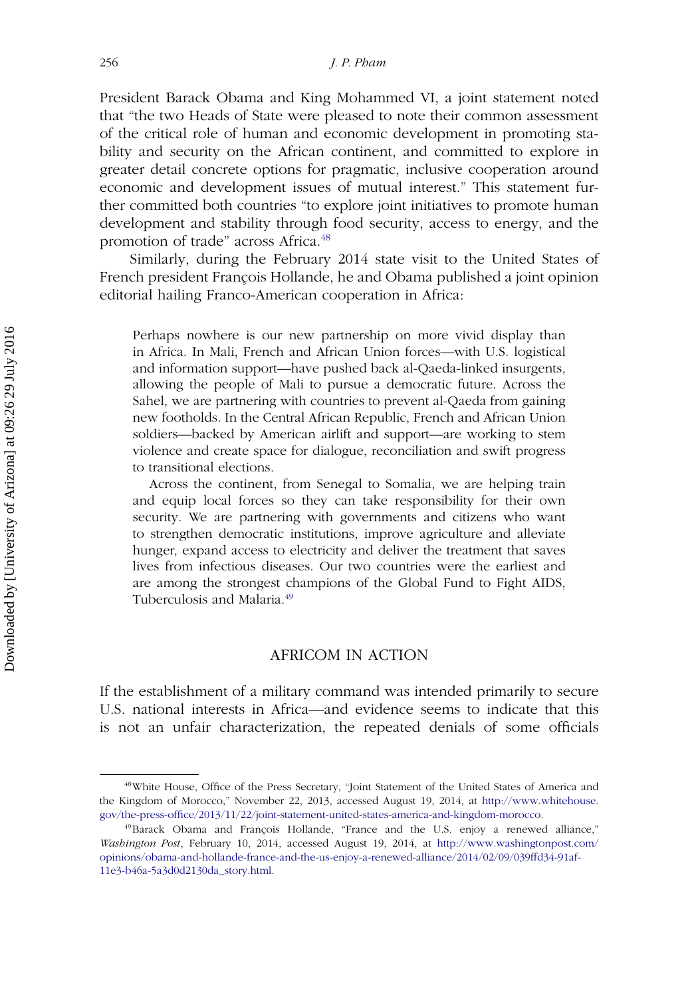President Barack Obama and King Mohammed VI, a joint statement noted that "the two Heads of State were pleased to note their common assessment of the critical role of human and economic development in promoting stability and security on the African continent, and committed to explore in greater detail concrete options for pragmatic, inclusive cooperation around economic and development issues of mutual interest." This statement further committed both countries "to explore joint initiatives to promote human development and stability through food security, access to energy, and the promotion of trade" across Africa.<sup>48</sup>

Similarly, during the February 2014 state visit to the United States of French president François Hollande, he and Obama published a joint opinion editorial hailing Franco-American cooperation in Africa:

Perhaps nowhere is our new partnership on more vivid display than in Africa. In Mali, French and African Union forces—with U.S. logistical and information support—have pushed back al-Qaeda-linked insurgents, allowing the people of Mali to pursue a democratic future. Across the Sahel, we are partnering with countries to prevent al-Qaeda from gaining new footholds. In the Central African Republic, French and African Union soldiers—backed by American airlift and support—are working to stem violence and create space for dialogue, reconciliation and swift progress to transitional elections.

Across the continent, from Senegal to Somalia, we are helping train and equip local forces so they can take responsibility for their own security. We are partnering with governments and citizens who want to strengthen democratic institutions, improve agriculture and alleviate hunger, expand access to electricity and deliver the treatment that saves lives from infectious diseases. Our two countries were the earliest and are among the strongest champions of the Global Fund to Fight AIDS, Tuberculosis and Malaria.<sup>49</sup>

# <span id="page-12-0"></span>AFRICOM IN ACTION

If the establishment of a military command was intended primarily to secure U.S. national interests in Africa—and evidence seems to indicate that this is not an unfair characterization, the repeated denials of some officials

<sup>48</sup>White House, Office of the Press Secretary, "Joint Statement of the United States of America and the Kingdom of Morocco," November 22, 2013, accessed August 19, 2014, at [http://www.whitehouse.](http://www.whitehouse.gov/the-press-office/2013/11/22/joint-statement-united-states-america-and-kingdom-morocco) [gov/the-press-office/2013/11/22/joint-statement-united-states-america-and-kingdom-morocco.](http://www.whitehouse.gov/the-press-office/2013/11/22/joint-statement-united-states-america-and-kingdom-morocco)

<span id="page-12-1"></span><sup>49</sup>Barack Obama and François Hollande, "France and the U.S. enjoy a renewed alliance," *Washington Post*, February 10, 2014, accessed August 19, 2014, at [http://www.washingtonpost.com/](http://www.washingtonpost.com/opinions/obama-and-hollande-france-and-the-us-enjoy-a-renewed-alliance/2014/02/09/039ffd34-91af-11e3-b46a-5a3d0d2130da_story.html) [opinions/obama-and-hollande-france-and-the-us-enjoy-a-renewed-alliance/2014/02/09/039ffd34-91af-](http://www.washingtonpost.com/opinions/obama-and-hollande-france-and-the-us-enjoy-a-renewed-alliance/2014/02/09/039ffd34-91af-11e3-b46a-5a3d0d2130da_story.html)[11e3-b46a-5a3d0d2130da\\_story.html.](http://www.washingtonpost.com/opinions/obama-and-hollande-france-and-the-us-enjoy-a-renewed-alliance/2014/02/09/039ffd34-91af-11e3-b46a-5a3d0d2130da_story.html)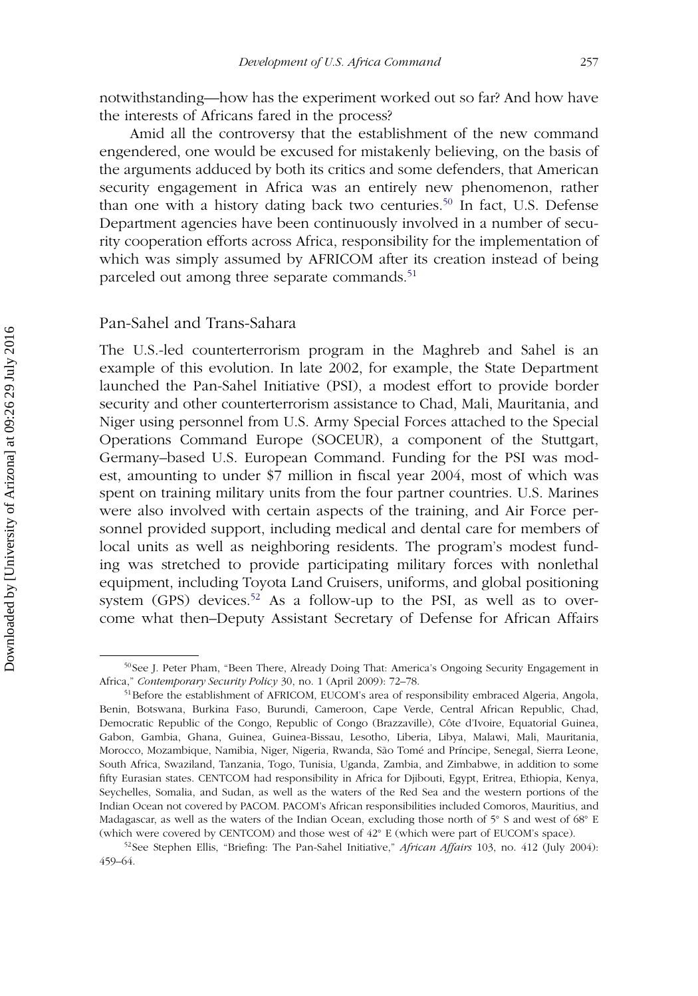notwithstanding—how has the experiment worked out so far? And how have the interests of Africans fared in the process?

Amid all the controversy that the establishment of the new command engendered, one would be excused for mistakenly believing, on the basis of the arguments adduced by both its critics and some defenders, that American security engagement in Africa was an entirely new phenomenon, rather than one with a history dating back two centuries.<sup>50</sup> In fact, U.S. Defense Department agencies have been continuously involved in a number of security cooperation efforts across Africa, responsibility for the implementation of which was simply assumed by AFRICOM after its creation instead of being parceled out among three separate commands.<sup>51</sup>

# Pan-Sahel and Trans-Sahara

The U.S.-led counterterrorism program in the Maghreb and Sahel is an example of this evolution. In late 2002, for example, the State Department launched the Pan-Sahel Initiative (PSI), a modest effort to provide border security and other counterterrorism assistance to Chad, Mali, Mauritania, and Niger using personnel from U.S. Army Special Forces attached to the Special Operations Command Europe (SOCEUR), a component of the Stuttgart, Germany–based U.S. European Command. Funding for the PSI was modest, amounting to under \$7 million in fiscal year 2004, most of which was spent on training military units from the four partner countries. U.S. Marines were also involved with certain aspects of the training, and Air Force personnel provided support, including medical and dental care for members of local units as well as neighboring residents. The program's modest funding was stretched to provide participating military forces with nonlethal equipment, including Toyota Land Cruisers, uniforms, and global positioning system (GPS) devices.<sup>52</sup> As a follow-up to the PSI, as well as to overcome what then–Deputy Assistant Secretary of Defense for African Affairs

<sup>&</sup>lt;sup>50</sup>See J. Peter Pham, "Been There, Already Doing That: America's Ongoing Security Engagement in Africa," *Contemporary Security Policy* 30, no. 1 (April 2009): 72–78.

<span id="page-13-0"></span><sup>&</sup>lt;sup>51</sup>Before the establishment of AFRICOM, EUCOM's area of responsibility embraced Algeria, Angola, Benin, Botswana, Burkina Faso, Burundi, Cameroon, Cape Verde, Central African Republic, Chad, Democratic Republic of the Congo, Republic of Congo (Brazzaville), Côte d'Ivoire, Equatorial Guinea, Gabon, Gambia, Ghana, Guinea, Guinea-Bissau, Lesotho, Liberia, Libya, Malawi, Mali, Mauritania, Morocco, Mozambique, Namibia, Niger, Nigeria, Rwanda, São Tomé and Príncipe, Senegal, Sierra Leone, South Africa, Swaziland, Tanzania, Togo, Tunisia, Uganda, Zambia, and Zimbabwe, in addition to some fifty Eurasian states. CENTCOM had responsibility in Africa for Djibouti, Egypt, Eritrea, Ethiopia, Kenya, Seychelles, Somalia, and Sudan, as well as the waters of the Red Sea and the western portions of the Indian Ocean not covered by PACOM. PACOM's African responsibilities included Comoros, Mauritius, and Madagascar, as well as the waters of the Indian Ocean, excluding those north of 5◦ S and west of 68◦ E (which were covered by CENTCOM) and those west of 42◦ E (which were part of EUCOM's space).

<span id="page-13-2"></span><span id="page-13-1"></span><sup>52</sup>See Stephen Ellis, "Briefing: The Pan-Sahel Initiative," *African Affairs* 103, no. 412 (July 2004): 459–64.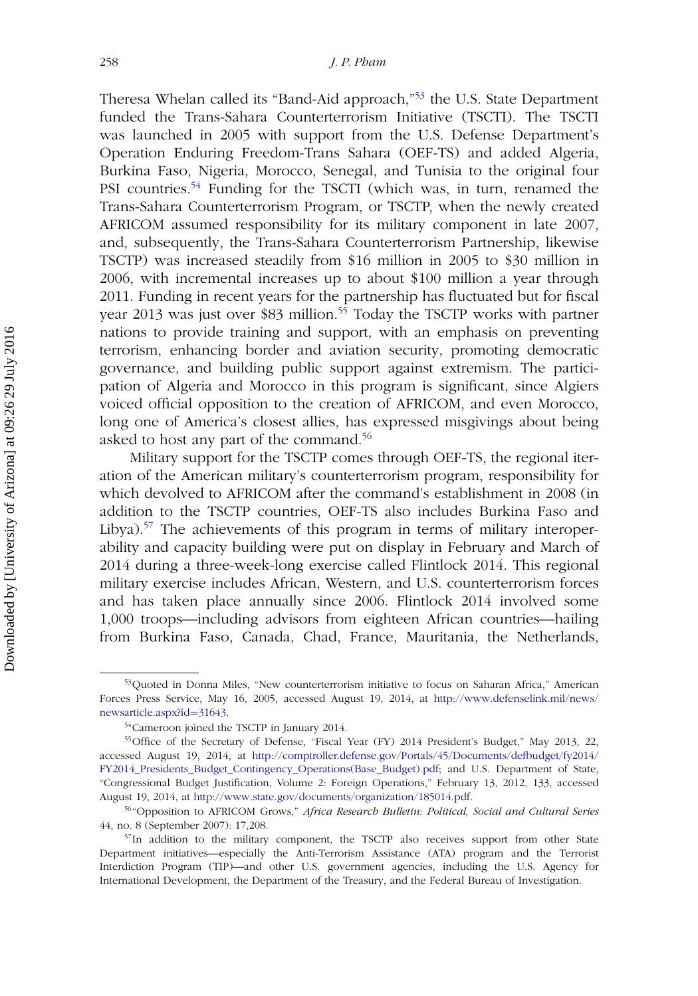Theresa Whelan called its "Band-Aid approach,"<sup>53</sup> the U.S. State Department funded the Trans-Sahara Counterterrorism Initiative (TSCTI). The TSCTI was launched in 2005 with support from the U.S. Defense Department's Operation Enduring Freedom-Trans Sahara (OEF-TS) and added Algeria, Burkina Faso, Nigeria, Morocco, Senegal, and Tunisia to the original four PSI countries.<sup>54</sup> Funding for the TSCTI (which was, in turn, renamed the Trans-Sahara Counterterrorism Program, or TSCTP, when the newly created AFRICOM assumed responsibility for its military component in late 2007, and, subsequently, the Trans-Sahara Counterterrorism Partnership, likewise TSCTP) was increased steadily from \$16 million in 2005 to \$30 million in 2006, with incremental increases up to about \$100 million a year through 2011. Funding in recent years for the partnership has fluctuated but for fiscal year 2013 was just over \$83 million.<sup>55</sup> Today the TSCTP works with partner nations to provide training and support, with an emphasis on preventing terrorism, enhancing border and aviation security, promoting democratic governance, and building public support against extremism. The participation of Algeria and Morocco in this program is significant, since Algiers voiced official opposition to the creation of AFRICOM, and even Morocco, long one of America's closest allies, has expressed misgivings about being asked to host any part of the command.<sup>56</sup>

Military support for the TSCTP comes through OEF-TS, the regional iteration of the American military's counterterrorism program, responsibility for which devolved to AFRICOM after the command's establishment in 2008 (in addition to the TSCTP countries, OEF-TS also includes Burkina Faso and Libya).<sup>57</sup> The achievements of this program in terms of military interoperability and capacity building were put on display in February and March of 2014 during a three-week-long exercise called Flintlock 2014. This regional military exercise includes African, Western, and U.S. counterterrorism forces and has taken place annually since 2006. Flintlock 2014 involved some 1,000 troops—including advisors from eighteen African countries—hailing from Burkina Faso, Canada, Chad, France, Mauritania, the Netherlands,

<sup>&</sup>lt;sup>53</sup>Quoted in Donna Miles, "New counterterrorism initiative to focus on Saharan Africa," American Forces Press Service, May 16, 2005, accessed August 19, 2014, at [http://www.defenselink.mil/news/](http://www.defenselink.mil/news/newsarticle.aspx?id=31643) [newsarticle.aspx?id](http://www.defenselink.mil/news/newsarticle.aspx?id=31643)=31643.

<span id="page-14-2"></span><span id="page-14-1"></span><span id="page-14-0"></span><sup>54</sup>Cameroon joined the TSCTP in January 2014.

<sup>55</sup>Office of the Secretary of Defense, "Fiscal Year (FY) 2014 President's Budget," May 2013, 22, accessed August 19, 2014, at [http://comptroller.defense.gov/Portals/45/Documents/defbudget/fy2014/](http://comptroller.defense.gov/Portals/45/Documents/defbudget/fy2014/FY2014_Presidents_Budget_Contingency_Operations(Base_Budget).pdf) [FY2014\\_Presidents\\_Budget\\_Contingency\\_Operations\(Base\\_Budget\).pdf;](http://comptroller.defense.gov/Portals/45/Documents/defbudget/fy2014/FY2014_Presidents_Budget_Contingency_Operations(Base_Budget).pdf) and U.S. Department of State, "Congressional Budget Justification, Volume 2: Foreign Operations," February 13, 2012, 133, accessed August 19, 2014, at [http://www.state.gov/documents/organization/185014.pdf.](http://www.state.gov/documents/organization/185014.pdf)

<sup>56&</sup>quot;Opposition to AFRICOM Grows," *Africa Research Bulletin: Political, Social and Cultural Series* 44, no. 8 (September 2007): 17,208.

<span id="page-14-4"></span><span id="page-14-3"></span><sup>&</sup>lt;sup>57</sup>In addition to the military component, the TSCTP also receives support from other State Department initiatives—especially the Anti-Terrorism Assistance (ATA) program and the Terrorist Interdiction Program (TIP)—and other U.S. government agencies, including the U.S. Agency for International Development, the Department of the Treasury, and the Federal Bureau of Investigation.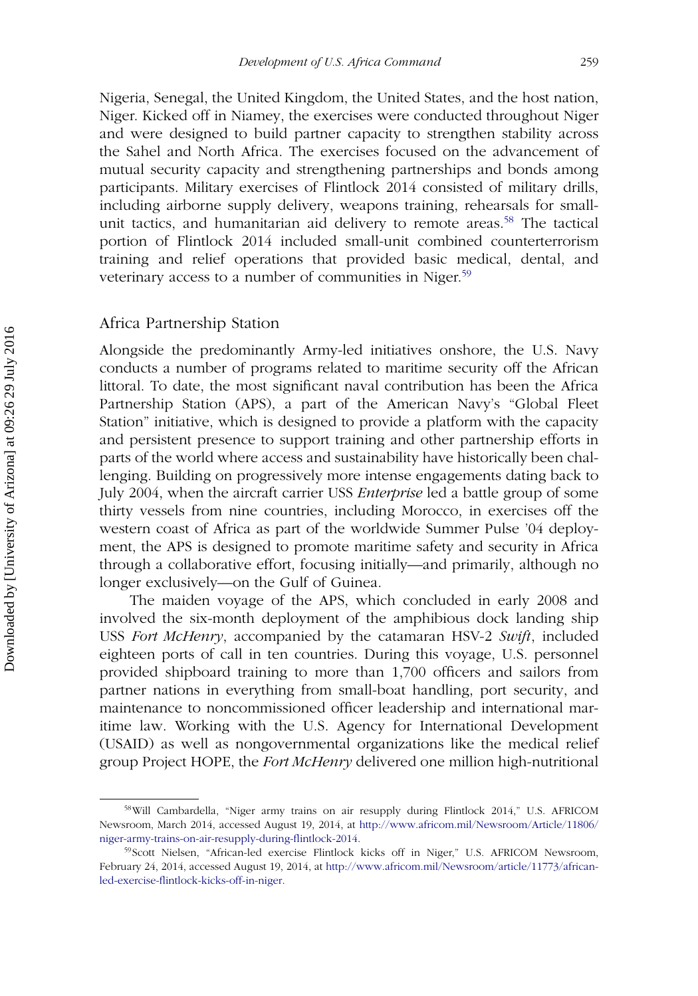Nigeria, Senegal, the United Kingdom, the United States, and the host nation, Niger. Kicked off in Niamey, the exercises were conducted throughout Niger and were designed to build partner capacity to strengthen stability across the Sahel and North Africa. The exercises focused on the advancement of mutual security capacity and strengthening partnerships and bonds among participants. Military exercises of Flintlock 2014 consisted of military drills, including airborne supply delivery, weapons training, rehearsals for smallunit tactics, and humanitarian aid delivery to remote areas.<sup>58</sup> The tactical portion of Flintlock 2014 included small-unit combined counterterrorism training and relief operations that provided basic medical, dental, and veterinary access to a number of communities in Niger.<sup>59</sup>

#### Africa Partnership Station

Alongside the predominantly Army-led initiatives onshore, the U.S. Navy conducts a number of programs related to maritime security off the African littoral. To date, the most significant naval contribution has been the Africa Partnership Station (APS), a part of the American Navy's "Global Fleet Station" initiative, which is designed to provide a platform with the capacity and persistent presence to support training and other partnership efforts in parts of the world where access and sustainability have historically been challenging. Building on progressively more intense engagements dating back to July 2004, when the aircraft carrier USS *Enterprise* led a battle group of some thirty vessels from nine countries, including Morocco, in exercises off the western coast of Africa as part of the worldwide Summer Pulse '04 deployment, the APS is designed to promote maritime safety and security in Africa through a collaborative effort, focusing initially—and primarily, although no longer exclusively—on the Gulf of Guinea.

The maiden voyage of the APS, which concluded in early 2008 and involved the six-month deployment of the amphibious dock landing ship USS *Fort McHenry*, accompanied by the catamaran HSV-2 *Swift*, included eighteen ports of call in ten countries. During this voyage, U.S. personnel provided shipboard training to more than 1,700 officers and sailors from partner nations in everything from small-boat handling, port security, and maintenance to noncommissioned officer leadership and international maritime law. Working with the U.S. Agency for International Development (USAID) as well as nongovernmental organizations like the medical relief group Project HOPE, the *Fort McHenry* delivered one million high-nutritional

<sup>58</sup>Will Cambardella, "Niger army trains on air resupply during Flintlock 2014," U.S. AFRICOM Newsroom, March 2014, accessed August 19, 2014, at [http://www.africom.mil/Newsroom/Article/11806/](http://www.africom.mil/Newsroom/Article/11806/niger-army-trains-on-air-resupply-during-flintlock-2014) [niger-army-trains-on-air-resupply-during-flintlock-2014.](http://www.africom.mil/Newsroom/Article/11806/niger-army-trains-on-air-resupply-during-flintlock-2014)

<span id="page-15-1"></span><span id="page-15-0"></span><sup>59</sup>Scott Nielsen, "African-led exercise Flintlock kicks off in Niger," U.S. AFRICOM Newsroom, February 24, 2014, accessed August 19, 2014, at [http://www.africom.mil/Newsroom/article/11773/african](http://www.africom.mil/Newsroom/article/11773/african-led-exercise-flintlock-kicks-off-in-niger)[led-exercise-flintlock-kicks-off-in-niger.](http://www.africom.mil/Newsroom/article/11773/african-led-exercise-flintlock-kicks-off-in-niger)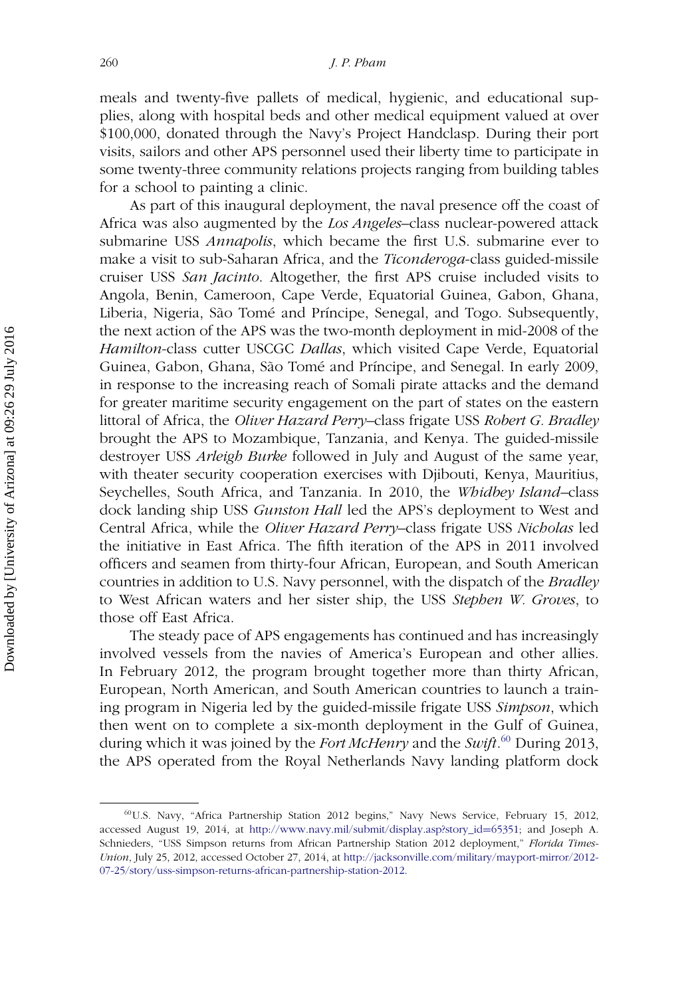meals and twenty-five pallets of medical, hygienic, and educational supplies, along with hospital beds and other medical equipment valued at over \$100,000, donated through the Navy's Project Handclasp. During their port visits, sailors and other APS personnel used their liberty time to participate in some twenty-three community relations projects ranging from building tables for a school to painting a clinic.

As part of this inaugural deployment, the naval presence off the coast of Africa was also augmented by the *Los Angeles*–class nuclear-powered attack submarine USS *Annapolis*, which became the first U.S. submarine ever to make a visit to sub-Saharan Africa, and the *Ticonderoga*-class guided-missile cruiser USS *San Jacinto*. Altogether, the first APS cruise included visits to Angola, Benin, Cameroon, Cape Verde, Equatorial Guinea, Gabon, Ghana, Liberia, Nigeria, São Tomé and Príncipe, Senegal, and Togo. Subsequently, the next action of the APS was the two-month deployment in mid-2008 of the *Hamilton*-class cutter USCGC *Dallas*, which visited Cape Verde, Equatorial Guinea, Gabon, Ghana, São Tomé and Príncipe, and Senegal. In early 2009, in response to the increasing reach of Somali pirate attacks and the demand for greater maritime security engagement on the part of states on the eastern littoral of Africa, the *Oliver Hazard Perry*–class frigate USS *Robert G. Bradley* brought the APS to Mozambique, Tanzania, and Kenya. The guided-missile destroyer USS *Arleigh Burke* followed in July and August of the same year, with theater security cooperation exercises with Djibouti, Kenya, Mauritius, Seychelles, South Africa, and Tanzania. In 2010, the *Whidbey Island*–class dock landing ship USS *Gunston Hall* led the APS's deployment to West and Central Africa, while the *Oliver Hazard Perry*–class frigate USS *Nicholas* led the initiative in East Africa. The fifth iteration of the APS in 2011 involved officers and seamen from thirty-four African, European, and South American countries in addition to U.S. Navy personnel, with the dispatch of the *Bradley* to West African waters and her sister ship, the USS *Stephen W. Groves*, to those off East Africa.

The steady pace of APS engagements has continued and has increasingly involved vessels from the navies of America's European and other allies. In February 2012, the program brought together more than thirty African, European, North American, and South American countries to launch a training program in Nigeria led by the guided-missile frigate USS *Simpson*, which then went on to complete a six-month deployment in the Gulf of Guinea, during which it was joined by the *Fort McHenry* and the *Swift*. [60](#page-16-0) During 2013, the APS operated from the Royal Netherlands Navy landing platform dock

<span id="page-16-0"></span><sup>60</sup>U.S. Navy, "Africa Partnership Station 2012 begins," Navy News Service, February 15, 2012, accessed August 19, 2014, at [http://www.navy.mil/submit/display.asp?story\\_id](http://www.navy.mil/submit/display.asp?story_id=65351)=65351; and Joseph A. Schnieders, "USS Simpson returns from African Partnership Station 2012 deployment," *Florida Times-Union*, July 25, 2012, accessed October 27, 2014, at [http://jacksonville.com/military/mayport-mirror/2012-](http://jacksonville.com/military/mayport-mirror/2012-07-25/story/uss-simpson-returns-african-partnership-station-2012) [07-25/story/uss-simpson-returns-african-partnership-station-2012.](http://jacksonville.com/military/mayport-mirror/2012-07-25/story/uss-simpson-returns-african-partnership-station-2012)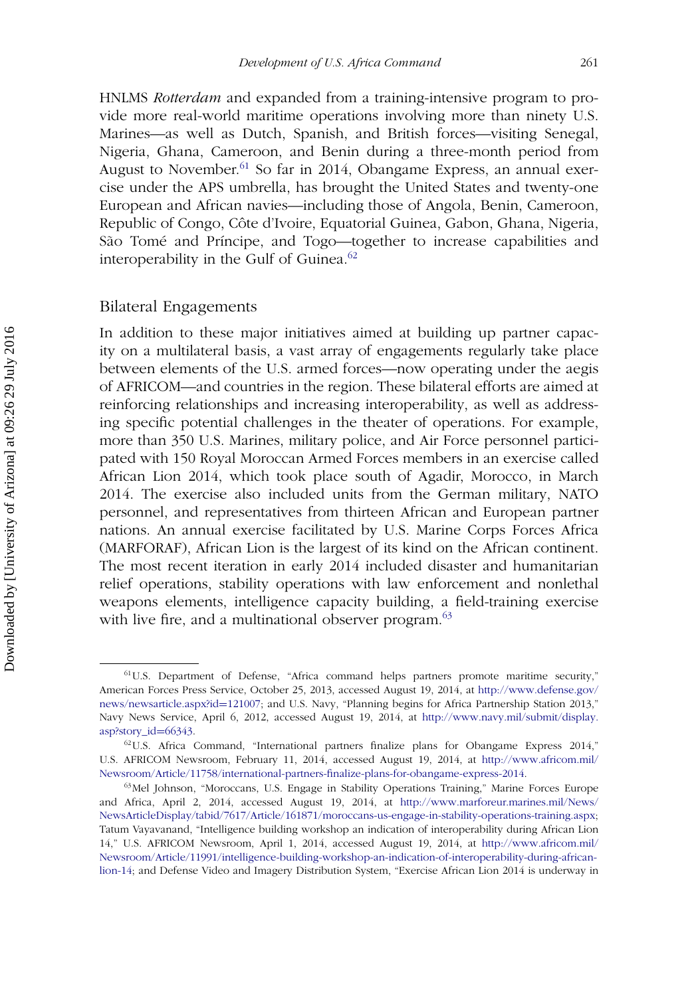HNLMS *Rotterdam* and expanded from a training-intensive program to provide more real-world maritime operations involving more than ninety U.S. Marines—as well as Dutch, Spanish, and British forces—visiting Senegal, Nigeria, Ghana, Cameroon, and Benin during a three-month period from August to November. $61$  So far in 2014, Obangame Express, an annual exercise under the APS umbrella, has brought the United States and twenty-one European and African navies—including those of Angola, Benin, Cameroon, Republic of Congo, Côte d'Ivoire, Equatorial Guinea, Gabon, Ghana, Nigeria, São Tomé and Príncipe, and Togo—together to increase capabilities and interoperability in the Gulf of Guinea. $62$ 

#### Bilateral Engagements

In addition to these major initiatives aimed at building up partner capacity on a multilateral basis, a vast array of engagements regularly take place between elements of the U.S. armed forces—now operating under the aegis of AFRICOM—and countries in the region. These bilateral efforts are aimed at reinforcing relationships and increasing interoperability, as well as addressing specific potential challenges in the theater of operations. For example, more than 350 U.S. Marines, military police, and Air Force personnel participated with 150 Royal Moroccan Armed Forces members in an exercise called African Lion 2014, which took place south of Agadir, Morocco, in March 2014. The exercise also included units from the German military, NATO personnel, and representatives from thirteen African and European partner nations. An annual exercise facilitated by U.S. Marine Corps Forces Africa (MARFORAF), African Lion is the largest of its kind on the African continent. The most recent iteration in early 2014 included disaster and humanitarian relief operations, stability operations with law enforcement and nonlethal weapons elements, intelligence capacity building, a field-training exercise with live fire, and a multinational observer program. $63$ 

<sup>61</sup>U.S. Department of Defense, "Africa command helps partners promote maritime security," American Forces Press Service, October 25, 2013, accessed August 19, 2014, at [http://www.defense.gov/](http://www.defense.gov/news/newsarticle.aspx?id=121007) [news/newsarticle.aspx?id](http://www.defense.gov/news/newsarticle.aspx?id=121007)=121007; and U.S. Navy, "Planning begins for Africa Partnership Station 2013," Navy News Service, April 6, 2012, accessed August 19, 2014, at [http://www.navy.mil/submit/display.](http://www.navy.mil/submit/display.asp?story_id=66343) [asp?story\\_id](http://www.navy.mil/submit/display.asp?story_id=66343)=66343. 62U.S. Africa Command, "International partners finalize plans for Obangame Express 2014,"

<span id="page-17-0"></span>U.S. AFRICOM Newsroom, February 11, 2014, accessed August 19, 2014, at [http://www.africom.mil/](http://www.africom.mil/Newsroom/Article/11758/international-partners-finalize-plans-for-obangame-express-2014) [Newsroom/Article/11758/international-partners-finalize-plans-for-obangame-express-2014.](http://www.africom.mil/Newsroom/Article/11758/international-partners-finalize-plans-for-obangame-express-2014)

<span id="page-17-1"></span><sup>&</sup>lt;sup>63</sup>Mel Johnson, "Moroccans, U.S. Engage in Stability Operations Training," Marine Forces Europe and Africa, April 2, 2014, accessed August 19, 2014, at [http://www.marforeur.marines.mil/News/](http://www.marforeur.marines.mil/News/NewsArticleDisplay/tabid/7617/Article/161871/moroccans-us-engage-in-stability-operations-training.aspx) [NewsArticleDisplay/tabid/7617/Article/161871/moroccans-us-engage-in-stability-operations-training.aspx;](http://www.marforeur.marines.mil/News/NewsArticleDisplay/tabid/7617/Article/161871/moroccans-us-engage-in-stability-operations-training.aspx) Tatum Vayavanand, "Intelligence building workshop an indication of interoperability during African Lion 14," U.S. AFRICOM Newsroom, April 1, 2014, accessed August 19, 2014, at [http://www.africom.mil/](http://www.africom.mil/Newsroom/Article/11991/intelligence-building-workshop-an-indication-of-interoperability-during-african-lion-14) [Newsroom/Article/11991/intelligence-building-workshop-an-indication-of-interoperability-during-african](http://www.africom.mil/Newsroom/Article/11991/intelligence-building-workshop-an-indication-of-interoperability-during-african-lion-14)[lion-14](http://www.africom.mil/Newsroom/Article/11991/intelligence-building-workshop-an-indication-of-interoperability-during-african-lion-14); and Defense Video and Imagery Distribution System, "Exercise African Lion 2014 is underway in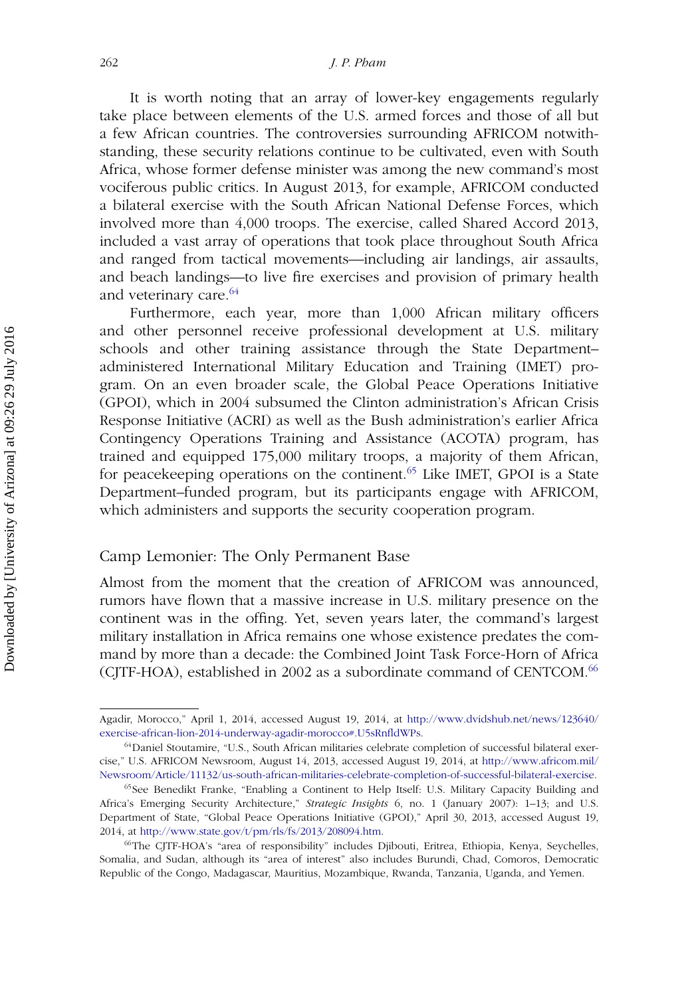It is worth noting that an array of lower-key engagements regularly take place between elements of the U.S. armed forces and those of all but a few African countries. The controversies surrounding AFRICOM notwithstanding, these security relations continue to be cultivated, even with South Africa, whose former defense minister was among the new command's most vociferous public critics. In August 2013, for example, AFRICOM conducted a bilateral exercise with the South African National Defense Forces, which involved more than 4,000 troops. The exercise, called Shared Accord 2013, included a vast array of operations that took place throughout South Africa and ranged from tactical movements—including air landings, air assaults, and beach landings—to live fire exercises and provision of primary health and veterinary care.<sup>64</sup>

Furthermore, each year, more than 1,000 African military officers and other personnel receive professional development at U.S. military schools and other training assistance through the State Department– administered International Military Education and Training (IMET) program. On an even broader scale, the Global Peace Operations Initiative (GPOI), which in 2004 subsumed the Clinton administration's African Crisis Response Initiative (ACRI) as well as the Bush administration's earlier Africa Contingency Operations Training and Assistance (ACOTA) program, has trained and equipped 175,000 military troops, a majority of them African, for peacekeeping operations on the continent.<sup>65</sup> Like IMET, GPOI is a State Department–funded program, but its participants engage with AFRICOM, which administers and supports the security cooperation program.

# Camp Lemonier: The Only Permanent Base

Almost from the moment that the creation of AFRICOM was announced, rumors have flown that a massive increase in U.S. military presence on the continent was in the offing. Yet, seven years later, the command's largest military installation in Africa remains one whose existence predates the command by more than a decade: the Combined Joint Task Force-Horn of Africa (CJTF-HOA), established in 2002 as a subordinate command of CENTCOM[.66](#page-18-3)

Agadir, Morocco," April 1, 2014, accessed August 19, 2014, at [http://www.dvidshub.net/news/123640/](http://www.dvidshub.net/news/123640/exercise-african-lion-2014-underway-agadir-morocco#.U5sRnfldWPs) [exercise-african-lion-2014-underway-agadir-morocco#.U5sRnfldWPs.](http://www.dvidshub.net/news/123640/exercise-african-lion-2014-underway-agadir-morocco#.U5sRnfldWPs)

<span id="page-18-0"></span><sup>&</sup>lt;sup>64</sup>Daniel Stoutamire, "U.S., South African militaries celebrate completion of successful bilateral exercise," U.S. AFRICOM Newsroom, August 14, 2013, accessed August 19, 2014, at [http://www.africom.mil/](http://www.africom.mil/Newsroom/Article/11132/us-south-african-militaries-celebrate-completion-of-successful-bilateral-exercise) [Newsroom/Article/11132/us-south-african-militaries-celebrate-completion-of-successful-bilateral-exercise.](http://www.africom.mil/Newsroom/Article/11132/us-south-african-militaries-celebrate-completion-of-successful-bilateral-exercise)

<span id="page-18-1"></span><sup>65</sup>See Benedikt Franke, "Enabling a Continent to Help Itself: U.S. Military Capacity Building and Africa's Emerging Security Architecture," *Strategic Insights* 6, no. 1 (January 2007): 1–13; and U.S. Department of State, "Global Peace Operations Initiative (GPOI)," April 30, 2013, accessed August 19, 2014, at [http://www.state.gov/t/pm/rls/fs/2013/208094.htm.](http://www.state.gov/t/pm/rls/fs/2013/208094.htm)

<span id="page-18-3"></span><span id="page-18-2"></span><sup>66</sup>The CJTF-HOA's "area of responsibility" includes Djibouti, Eritrea, Ethiopia, Kenya, Seychelles, Somalia, and Sudan, although its "area of interest" also includes Burundi, Chad, Comoros, Democratic Republic of the Congo, Madagascar, Mauritius, Mozambique, Rwanda, Tanzania, Uganda, and Yemen.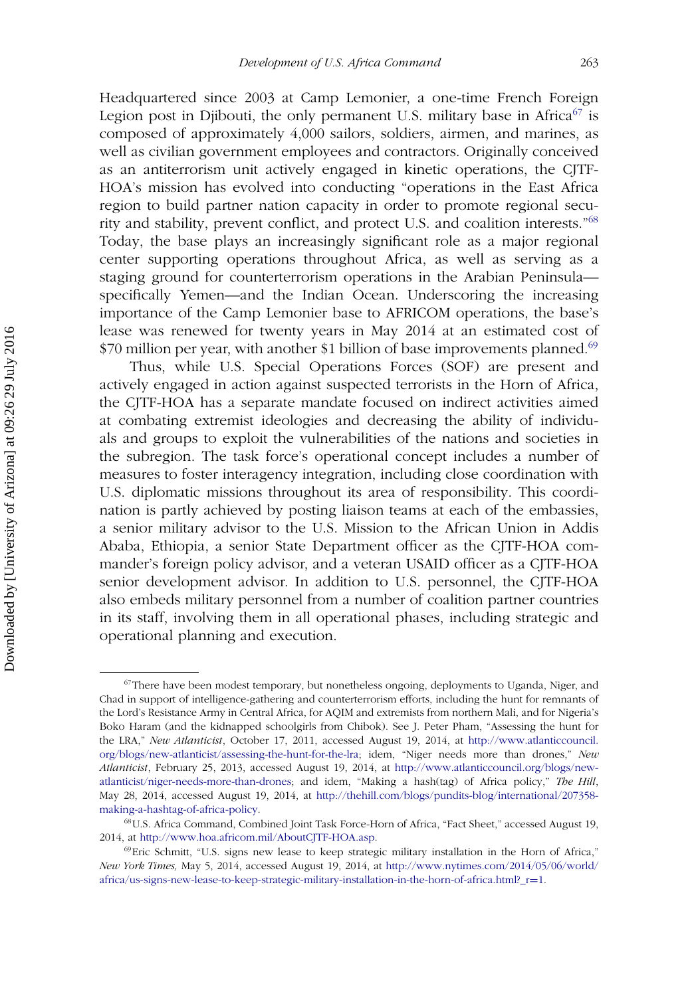Headquartered since 2003 at Camp Lemonier, a one-time French Foreign Legion post in Djibouti, the only permanent U.S. military base in Africa<sup>67</sup> is composed of approximately 4,000 sailors, soldiers, airmen, and marines, as well as civilian government employees and contractors. Originally conceived as an antiterrorism unit actively engaged in kinetic operations, the CJTF-HOA's mission has evolved into conducting "operations in the East Africa region to build partner nation capacity in order to promote regional security and stability, prevent conflict, and protect U.S. and coalition interests.["68](#page-19-1) Today, the base plays an increasingly significant role as a major regional center supporting operations throughout Africa, as well as serving as a staging ground for counterterrorism operations in the Arabian Peninsula specifically Yemen—and the Indian Ocean. Underscoring the increasing importance of the Camp Lemonier base to AFRICOM operations, the base's lease was renewed for twenty years in May 2014 at an estimated cost of \$70 million per year, with another \$1 billion of base improvements planned.<sup>69</sup>

Thus, while U.S. Special Operations Forces (SOF) are present and actively engaged in action against suspected terrorists in the Horn of Africa, the CJTF-HOA has a separate mandate focused on indirect activities aimed at combating extremist ideologies and decreasing the ability of individuals and groups to exploit the vulnerabilities of the nations and societies in the subregion. The task force's operational concept includes a number of measures to foster interagency integration, including close coordination with U.S. diplomatic missions throughout its area of responsibility. This coordination is partly achieved by posting liaison teams at each of the embassies, a senior military advisor to the U.S. Mission to the African Union in Addis Ababa, Ethiopia, a senior State Department officer as the CJTF-HOA commander's foreign policy advisor, and a veteran USAID officer as a CJTF-HOA senior development advisor. In addition to U.S. personnel, the CJTF-HOA also embeds military personnel from a number of coalition partner countries in its staff, involving them in all operational phases, including strategic and operational planning and execution.

 $67$ There have been modest temporary, but nonetheless ongoing, deployments to Uganda, Niger, and Chad in support of intelligence-gathering and counterterrorism efforts, including the hunt for remnants of the Lord's Resistance Army in Central Africa, for AQIM and extremists from northern Mali, and for Nigeria's Boko Haram (and the kidnapped schoolgirls from Chibok). See J. Peter Pham, "Assessing the hunt for the LRA," *New Atlanticist*, October 17, 2011, accessed August 19, 2014, at [http://www.atlanticcouncil.](http://www.atlanticcouncil.org/blogs/new-atlanticist/assessing-the-hunt-for-the-lra) [org/blogs/new-atlanticist/assessing-the-hunt-for-the-lra;](http://www.atlanticcouncil.org/blogs/new-atlanticist/assessing-the-hunt-for-the-lra) idem, "Niger needs more than drones," *New Atlanticist*, February 25, 2013, accessed August 19, 2014, at [http://www.atlanticcouncil.org/blogs/new](http://www.atlanticcouncil.org/blogs/new-atlanticist/niger-needs-more-than-drones)[atlanticist/niger-needs-more-than-drones;](http://www.atlanticcouncil.org/blogs/new-atlanticist/niger-needs-more-than-drones) and idem, "Making a hash(tag) of Africa policy," *The Hill*, May 28, 2014, accessed August 19, 2014, at [http://thehill.com/blogs/pundits-blog/international/207358](http://thehill.com/blogs/pundits-blog/international/207358-making-a-hashtag-of-africa-policy) [making-a-hashtag-of-africa-policy.](http://thehill.com/blogs/pundits-blog/international/207358-making-a-hashtag-of-africa-policy)

<span id="page-19-0"></span><sup>68</sup>U.S. Africa Command, Combined Joint Task Force-Horn of Africa, "Fact Sheet," accessed August 19, 2014, at [http://www.hoa.africom.mil/AboutCJTF-HOA.asp.](http://www.hoa.africom.mil/AboutCJTF-HOA.asp)

<span id="page-19-2"></span><span id="page-19-1"></span><sup>69</sup>Eric Schmitt, "U.S. signs new lease to keep strategic military installation in the Horn of Africa," *New York Times,* May 5, 2014, accessed August 19, 2014, at [http://www.nytimes.com/2014/05/06/world/](http://www.nytimes.com/2014/05/06/world/africa/us-signs-new-lease-to-keep-strategic-military-installation-in-the-horn-of-africa.html?_r=1) [africa/us-signs-new-lease-to-keep-strategic-military-installation-in-the-horn-of-africa.html?\\_r](http://www.nytimes.com/2014/05/06/world/africa/us-signs-new-lease-to-keep-strategic-military-installation-in-the-horn-of-africa.html?_r=1)=1.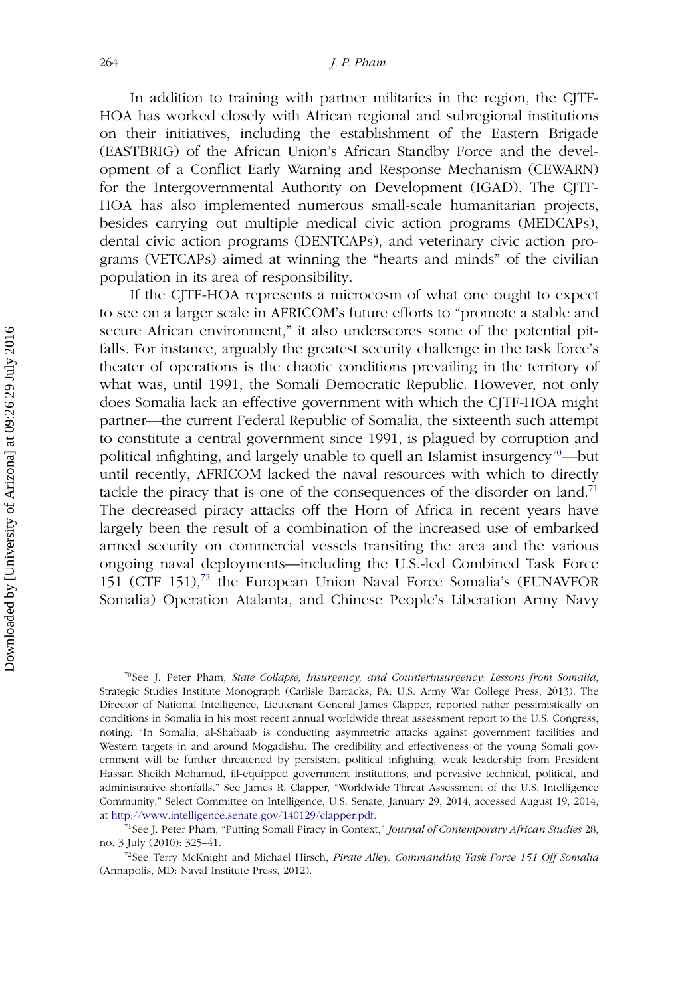In addition to training with partner militaries in the region, the CJTF-HOA has worked closely with African regional and subregional institutions on their initiatives, including the establishment of the Eastern Brigade (EASTBRIG) of the African Union's African Standby Force and the development of a Conflict Early Warning and Response Mechanism (CEWARN) for the Intergovernmental Authority on Development (IGAD). The CJTF-HOA has also implemented numerous small-scale humanitarian projects, besides carrying out multiple medical civic action programs (MEDCAPs), dental civic action programs (DENTCAPs), and veterinary civic action programs (VETCAPs) aimed at winning the "hearts and minds" of the civilian population in its area of responsibility.

If the CJTF-HOA represents a microcosm of what one ought to expect to see on a larger scale in AFRICOM's future efforts to "promote a stable and secure African environment," it also underscores some of the potential pitfalls. For instance, arguably the greatest security challenge in the task force's theater of operations is the chaotic conditions prevailing in the territory of what was, until 1991, the Somali Democratic Republic. However, not only does Somalia lack an effective government with which the CJTF-HOA might partner—the current Federal Republic of Somalia, the sixteenth such attempt to constitute a central government since 1991, is plagued by corruption and political infighting, and largely unable to quell an Islamist insurgency<sup>70</sup>—but until recently, AFRICOM lacked the naval resources with which to directly tackle the piracy that is one of the consequences of the disorder on land.<sup>71</sup> The decreased piracy attacks off the Horn of Africa in recent years have largely been the result of a combination of the increased use of embarked armed security on commercial vessels transiting the area and the various ongoing naval deployments—including the U.S.-led Combined Task Force 151 (CTF 151), $72$  the European Union Naval Force Somalia's (EUNAVFOR Somalia) Operation Atalanta, and Chinese People's Liberation Army Navy

<sup>70</sup>See J. Peter Pham, *State Collapse, Insurgency, and Counterinsurgency: Lessons from Somalia*, Strategic Studies Institute Monograph (Carlisle Barracks, PA: U.S. Army War College Press, 2013). The Director of National Intelligence, Lieutenant General James Clapper, reported rather pessimistically on conditions in Somalia in his most recent annual worldwide threat assessment report to the U.S. Congress, noting: "In Somalia, al-Shabaab is conducting asymmetric attacks against government facilities and Western targets in and around Mogadishu. The credibility and effectiveness of the young Somali government will be further threatened by persistent political infighting, weak leadership from President Hassan Sheikh Mohamud, ill-equipped government institutions, and pervasive technical, political, and administrative shortfalls." See James R. Clapper, "Worldwide Threat Assessment of the U.S. Intelligence Community," Select Committee on Intelligence, U.S. Senate, January 29, 2014, accessed August 19, 2014, at [http://www.intelligence.senate.gov/140129/clapper.pdf.](http://www.intelligence.senate.gov/140129/clapper.pdf)

<span id="page-20-0"></span><sup>71</sup>See J. Peter Pham, "Putting Somali Piracy in Context," *Journal of Contemporary African Studies* 28, no. 3 July (2010): 325–41.

<span id="page-20-2"></span><span id="page-20-1"></span><sup>72</sup>See Terry McKnight and Michael Hirsch, *Pirate Alley: Commanding Task Force 151 Off Somalia* (Annapolis, MD: Naval Institute Press, 2012).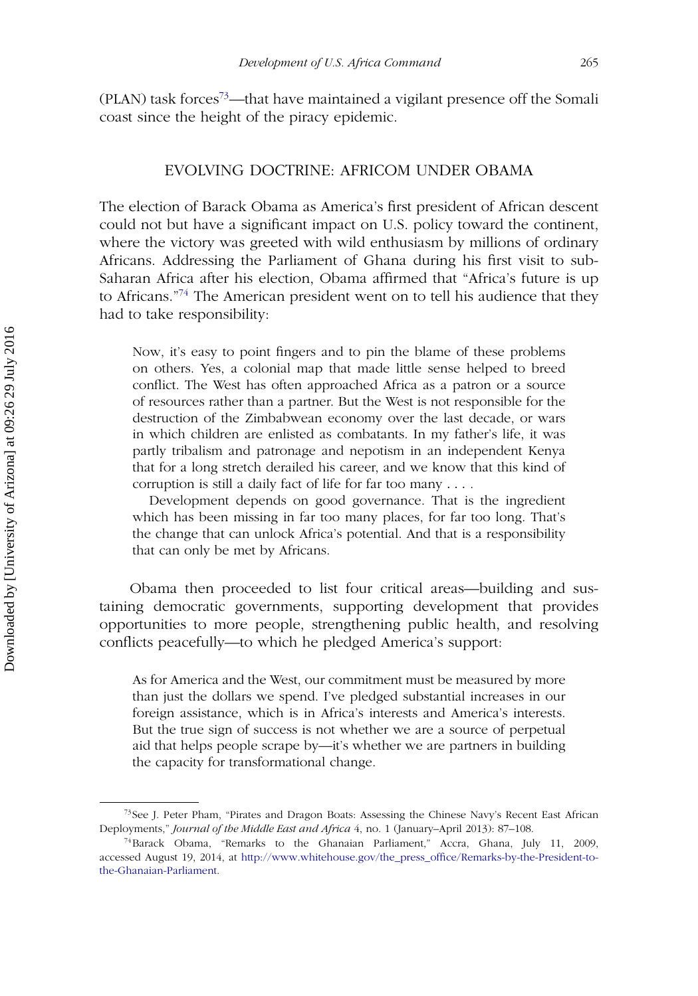(PLAN) task forces<sup>73</sup>—that have maintained a vigilant presence off the Somali coast since the height of the piracy epidemic.

#### EVOLVING DOCTRINE: AFRICOM UNDER OBAMA

The election of Barack Obama as America's first president of African descent could not but have a significant impact on U.S. policy toward the continent, where the victory was greeted with wild enthusiasm by millions of ordinary Africans. Addressing the Parliament of Ghana during his first visit to sub-Saharan Africa after his election, Obama affirmed that "Africa's future is up to Africans.["74](#page-21-1) The American president went on to tell his audience that they had to take responsibility:

Now, it's easy to point fingers and to pin the blame of these problems on others. Yes, a colonial map that made little sense helped to breed conflict. The West has often approached Africa as a patron or a source of resources rather than a partner. But the West is not responsible for the destruction of the Zimbabwean economy over the last decade, or wars in which children are enlisted as combatants. In my father's life, it was partly tribalism and patronage and nepotism in an independent Kenya that for a long stretch derailed his career, and we know that this kind of corruption is still a daily fact of life for far too many *...* .

Development depends on good governance. That is the ingredient which has been missing in far too many places, for far too long. That's the change that can unlock Africa's potential. And that is a responsibility that can only be met by Africans.

Obama then proceeded to list four critical areas—building and sustaining democratic governments, supporting development that provides opportunities to more people, strengthening public health, and resolving conflicts peacefully—to which he pledged America's support:

<span id="page-21-0"></span>As for America and the West, our commitment must be measured by more than just the dollars we spend. I've pledged substantial increases in our foreign assistance, which is in Africa's interests and America's interests. But the true sign of success is not whether we are a source of perpetual aid that helps people scrape by—it's whether we are partners in building the capacity for transformational change.

<sup>73</sup>See J. Peter Pham, "Pirates and Dragon Boats: Assessing the Chinese Navy's Recent East African Deployments," *Journal of the Middle East and Africa* 4, no. 1 (January–April 2013): 87–108.

<span id="page-21-1"></span><sup>74</sup>Barack Obama, "Remarks to the Ghanaian Parliament," Accra, Ghana, July 11, 2009, accessed August 19, 2014, at [http://www.whitehouse.gov/the\\_press\\_office/Remarks-by-the-President-to](http://www.whitehouse.gov/the_press_office/Remarks-by-the-President-to-the-Ghanaian-Parliament)[the-Ghanaian-Parliament.](http://www.whitehouse.gov/the_press_office/Remarks-by-the-President-to-the-Ghanaian-Parliament)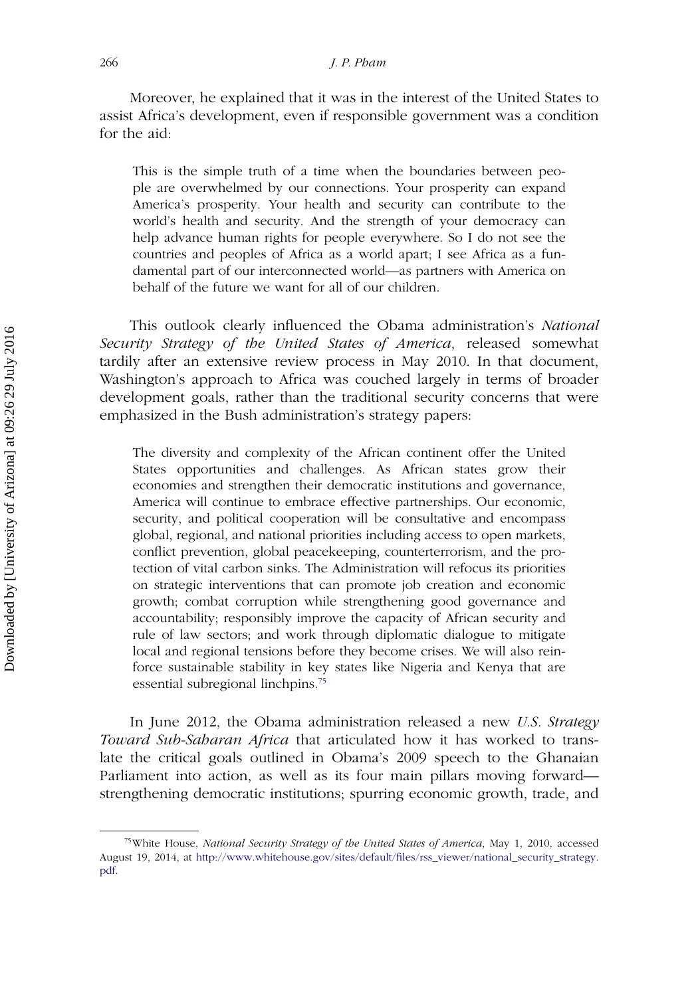Moreover, he explained that it was in the interest of the United States to assist Africa's development, even if responsible government was a condition for the aid:

This is the simple truth of a time when the boundaries between people are overwhelmed by our connections. Your prosperity can expand America's prosperity. Your health and security can contribute to the world's health and security. And the strength of your democracy can help advance human rights for people everywhere. So I do not see the countries and peoples of Africa as a world apart; I see Africa as a fundamental part of our interconnected world—as partners with America on behalf of the future we want for all of our children.

This outlook clearly influenced the Obama administration's *National Security Strategy of the United States of America*, released somewhat tardily after an extensive review process in May 2010. In that document, Washington's approach to Africa was couched largely in terms of broader development goals, rather than the traditional security concerns that were emphasized in the Bush administration's strategy papers:

The diversity and complexity of the African continent offer the United States opportunities and challenges. As African states grow their economies and strengthen their democratic institutions and governance, America will continue to embrace effective partnerships. Our economic, security, and political cooperation will be consultative and encompass global, regional, and national priorities including access to open markets, conflict prevention, global peacekeeping, counterterrorism, and the protection of vital carbon sinks. The Administration will refocus its priorities on strategic interventions that can promote job creation and economic growth; combat corruption while strengthening good governance and accountability; responsibly improve the capacity of African security and rule of law sectors; and work through diplomatic dialogue to mitigate local and regional tensions before they become crises. We will also reinforce sustainable stability in key states like Nigeria and Kenya that are essential subregional linchpins[.75](#page-22-0)

In June 2012, the Obama administration released a new *U.S. Strategy Toward Sub-Saharan Africa* that articulated how it has worked to translate the critical goals outlined in Obama's 2009 speech to the Ghanaian Parliament into action, as well as its four main pillars moving forward strengthening democratic institutions; spurring economic growth, trade, and

<span id="page-22-0"></span><sup>75</sup>White House, *National Security Strategy of the United States of America*, May 1, 2010, accessed August 19, 2014, at [http://www.whitehouse.gov/sites/default/files/rss\\_viewer/national\\_security\\_strategy.](http://www.whitehouse.gov/sites/default/files/rss_viewer/national_security_strategy.pdf) [pdf.](http://www.whitehouse.gov/sites/default/files/rss_viewer/national_security_strategy.pdf)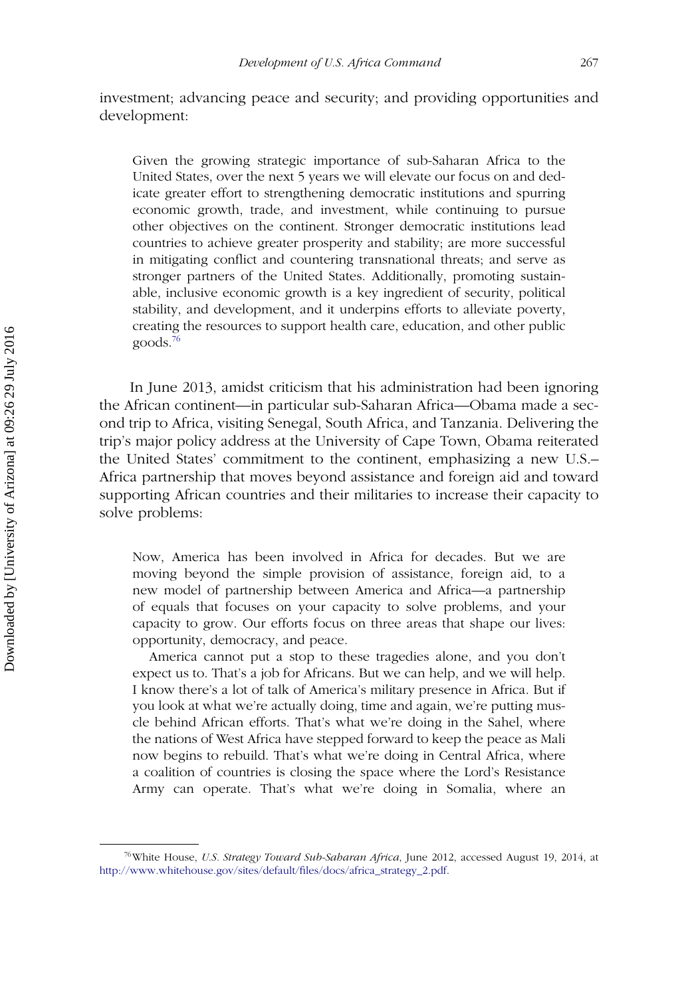investment; advancing peace and security; and providing opportunities and development:

Given the growing strategic importance of sub-Saharan Africa to the United States, over the next 5 years we will elevate our focus on and dedicate greater effort to strengthening democratic institutions and spurring economic growth, trade, and investment, while continuing to pursue other objectives on the continent. Stronger democratic institutions lead countries to achieve greater prosperity and stability; are more successful in mitigating conflict and countering transnational threats; and serve as stronger partners of the United States. Additionally, promoting sustainable, inclusive economic growth is a key ingredient of security, political stability, and development, and it underpins efforts to alleviate poverty, creating the resources to support health care, education, and other public goods[.76](#page-23-0)

In June 2013, amidst criticism that his administration had been ignoring the African continent—in particular sub-Saharan Africa—Obama made a second trip to Africa, visiting Senegal, South Africa, and Tanzania. Delivering the trip's major policy address at the University of Cape Town, Obama reiterated the United States' commitment to the continent, emphasizing a new U.S.– Africa partnership that moves beyond assistance and foreign aid and toward supporting African countries and their militaries to increase their capacity to solve problems:

Now, America has been involved in Africa for decades. But we are moving beyond the simple provision of assistance, foreign aid, to a new model of partnership between America and Africa—a partnership of equals that focuses on your capacity to solve problems, and your capacity to grow. Our efforts focus on three areas that shape our lives: opportunity, democracy, and peace.

America cannot put a stop to these tragedies alone, and you don't expect us to. That's a job for Africans. But we can help, and we will help. I know there's a lot of talk of America's military presence in Africa. But if you look at what we're actually doing, time and again, we're putting muscle behind African efforts. That's what we're doing in the Sahel, where the nations of West Africa have stepped forward to keep the peace as Mali now begins to rebuild. That's what we're doing in Central Africa, where a coalition of countries is closing the space where the Lord's Resistance Army can operate. That's what we're doing in Somalia, where an

<span id="page-23-0"></span><sup>76</sup>White House, *U.S. Strategy Toward Sub-Saharan Africa*, June 2012, accessed August 19, 2014, at [http://www.whitehouse.gov/sites/default/files/docs/africa\\_strategy\\_2.pdf.](http://www.whitehouse.gov/sites/default/files/docs/africa_strategy_2.pdf)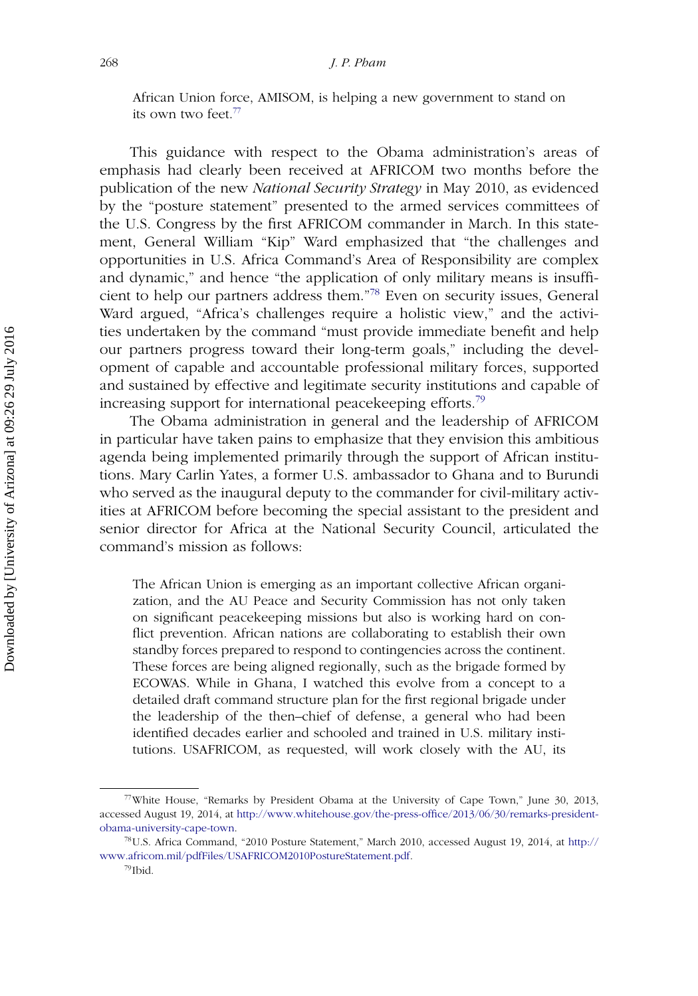African Union force, AMISOM, is helping a new government to stand on its own two feet.<sup>77</sup>

This guidance with respect to the Obama administration's areas of emphasis had clearly been received at AFRICOM two months before the publication of the new *National Security Strategy* in May 2010, as evidenced by the "posture statement" presented to the armed services committees of the U.S. Congress by the first AFRICOM commander in March. In this statement, General William "Kip" Ward emphasized that "the challenges and opportunities in U.S. Africa Command's Area of Responsibility are complex and dynamic," and hence "the application of only military means is insufficient to help our partners address them.["78](#page-24-1) Even on security issues, General Ward argued, "Africa's challenges require a holistic view," and the activities undertaken by the command "must provide immediate benefit and help our partners progress toward their long-term goals," including the development of capable and accountable professional military forces, supported and sustained by effective and legitimate security institutions and capable of increasing support for international peacekeeping efforts.<sup>79</sup>

The Obama administration in general and the leadership of AFRICOM in particular have taken pains to emphasize that they envision this ambitious agenda being implemented primarily through the support of African institutions. Mary Carlin Yates, a former U.S. ambassador to Ghana and to Burundi who served as the inaugural deputy to the commander for civil-military activities at AFRICOM before becoming the special assistant to the president and senior director for Africa at the National Security Council, articulated the command's mission as follows:

The African Union is emerging as an important collective African organization, and the AU Peace and Security Commission has not only taken on significant peacekeeping missions but also is working hard on conflict prevention. African nations are collaborating to establish their own standby forces prepared to respond to contingencies across the continent. These forces are being aligned regionally, such as the brigade formed by ECOWAS. While in Ghana, I watched this evolve from a concept to a detailed draft command structure plan for the first regional brigade under the leadership of the then–chief of defense, a general who had been identified decades earlier and schooled and trained in U.S. military institutions. USAFRICOM, as requested, will work closely with the AU, its

<sup>&</sup>lt;sup>77</sup>White House, "Remarks by President Obama at the University of Cape Town," June 30, 2013, accessed August 19, 2014, at [http://www.whitehouse.gov/the-press-office/2013/06/30/remarks-president](http://www.whitehouse.gov/the-press-office/2013/06/30/remarks-president-obama-university-cape-town)[obama-university-cape-town.](http://www.whitehouse.gov/the-press-office/2013/06/30/remarks-president-obama-university-cape-town)

<sup>78</sup>U.S. Africa Command, "2010 Posture Statement," March 2010, accessed August 19, 2014, at [http://](http://www.africom.mil/pdfFiles/USAFRICOM2010PostureStatement.pdf) [www.africom.mil/pdfFiles/USAFRICOM2010PostureStatement.pdf.](http://www.africom.mil/pdfFiles/USAFRICOM2010PostureStatement.pdf)

<span id="page-24-2"></span><span id="page-24-1"></span><span id="page-24-0"></span><sup>79</sup>Ibid.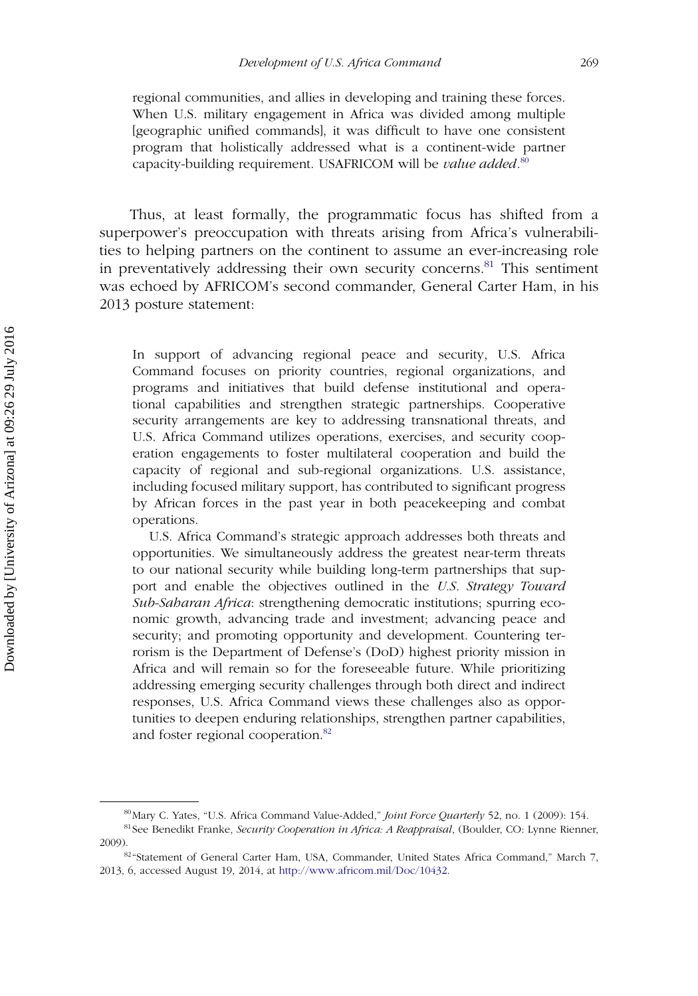regional communities, and allies in developing and training these forces. When U.S. military engagement in Africa was divided among multiple [geographic unified commands], it was difficult to have one consistent program that holistically addressed what is a continent-wide partner capacity-building requirement. USAFRICOM will be *value added*. [80](#page-25-0)

Thus, at least formally, the programmatic focus has shifted from a superpower's preoccupation with threats arising from Africa's vulnerabilities to helping partners on the continent to assume an ever-increasing role in preventatively addressing their own security concerns.<sup>81</sup> This sentiment was echoed by AFRICOM's second commander, General Carter Ham, in his 2013 posture statement:

In support of advancing regional peace and security, U.S. Africa Command focuses on priority countries, regional organizations, and programs and initiatives that build defense institutional and operational capabilities and strengthen strategic partnerships. Cooperative security arrangements are key to addressing transnational threats, and U.S. Africa Command utilizes operations, exercises, and security cooperation engagements to foster multilateral cooperation and build the capacity of regional and sub-regional organizations. U.S. assistance, including focused military support, has contributed to significant progress by African forces in the past year in both peacekeeping and combat operations.

U.S. Africa Command's strategic approach addresses both threats and opportunities. We simultaneously address the greatest near-term threats to our national security while building long-term partnerships that support and enable the objectives outlined in the *U.S. Strategy Toward Sub-Saharan Africa*: strengthening democratic institutions; spurring economic growth, advancing trade and investment; advancing peace and security; and promoting opportunity and development. Countering terrorism is the Department of Defense's (DoD) highest priority mission in Africa and will remain so for the foreseeable future. While prioritizing addressing emerging security challenges through both direct and indirect responses, U.S. Africa Command views these challenges also as opportunities to deepen enduring relationships, strengthen partner capabilities, and foster regional cooperation.<sup>82</sup>

<span id="page-25-0"></span><sup>80</sup>Mary C. Yates, "U.S. Africa Command Value-Added," *Joint Force Quarterly* 52, no. 1 (2009): 154. 81See Benedikt Franke, *Security Cooperation in Africa: A Reappraisal*, (Boulder, CO: Lynne Rienner,

<span id="page-25-2"></span><span id="page-25-1"></span>

<sup>2009).&</sup>lt;br><sup>82</sup>"Statement of General Carter Ham, USA, Commander, United States Africa Command," March 7, 2013, 6, accessed August 19, 2014, at [http://www.africom.mil/Doc/10432.](http://www.africom.mil/Doc/10432)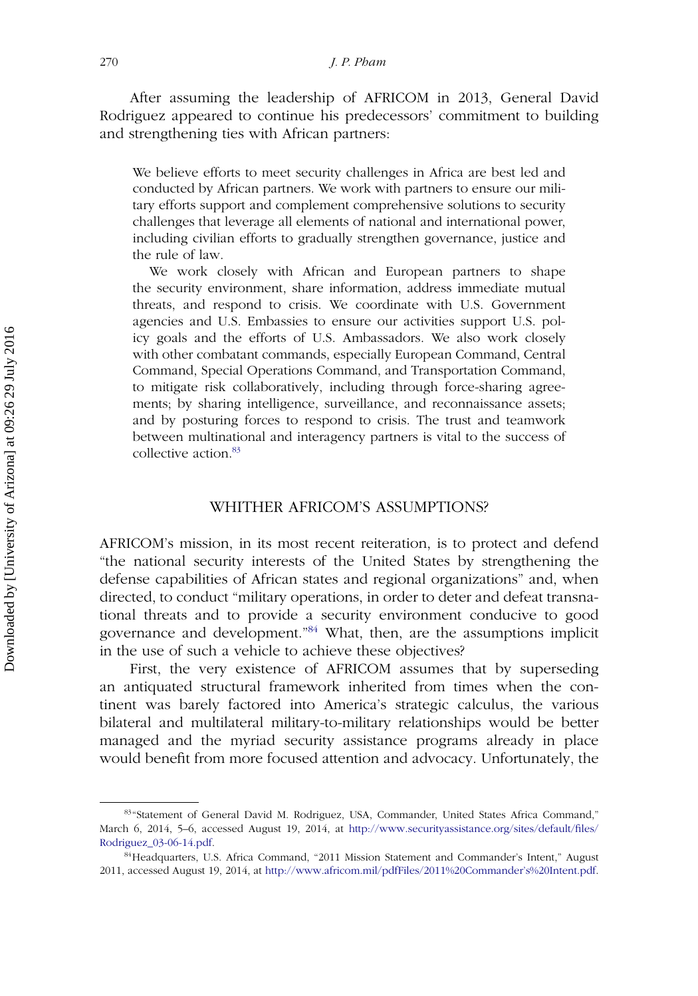After assuming the leadership of AFRICOM in 2013, General David Rodriguez appeared to continue his predecessors' commitment to building and strengthening ties with African partners:

We believe efforts to meet security challenges in Africa are best led and conducted by African partners. We work with partners to ensure our military efforts support and complement comprehensive solutions to security challenges that leverage all elements of national and international power, including civilian efforts to gradually strengthen governance, justice and the rule of law.

We work closely with African and European partners to shape the security environment, share information, address immediate mutual threats, and respond to crisis. We coordinate with U.S. Government agencies and U.S. Embassies to ensure our activities support U.S. policy goals and the efforts of U.S. Ambassadors. We also work closely with other combatant commands, especially European Command, Central Command, Special Operations Command, and Transportation Command, to mitigate risk collaboratively, including through force-sharing agreements; by sharing intelligence, surveillance, and reconnaissance assets; and by posturing forces to respond to crisis. The trust and teamwork between multinational and interagency partners is vital to the success of collective action[.83](#page-26-0)

#### WHITHER AFRICOM'S ASSUMPTIONS?

AFRICOM's mission, in its most recent reiteration, is to protect and defend "the national security interests of the United States by strengthening the defense capabilities of African states and regional organizations" and, when directed, to conduct "military operations, in order to deter and defeat transnational threats and to provide a security environment conducive to good governance and development.["84](#page-26-1) What, then, are the assumptions implicit in the use of such a vehicle to achieve these objectives?

First, the very existence of AFRICOM assumes that by superseding an antiquated structural framework inherited from times when the continent was barely factored into America's strategic calculus, the various bilateral and multilateral military-to-military relationships would be better managed and the myriad security assistance programs already in place would benefit from more focused attention and advocacy. Unfortunately, the

<sup>83&</sup>quot;Statement of General David M. Rodriguez, USA, Commander, United States Africa Command," March 6, 2014, 5–6, accessed August 19, 2014, at [http://www.securityassistance.org/sites/default/files/](http://www.securityassistance.org/sites/default/files/Rodriguez_03-06-14.pdf) [Rodriguez\\_03-06-14.pdf.](http://www.securityassistance.org/sites/default/files/Rodriguez_03-06-14.pdf)

<span id="page-26-1"></span><span id="page-26-0"></span><sup>&</sup>lt;sup>84</sup>Headquarters, U.S. Africa Command, "2011 Mission Statement and Commander's Intent," August 2011, accessed August 19, 2014, at http://www.africom.mil/pdfFiles/2011%20Commander's%20Intent.pdf.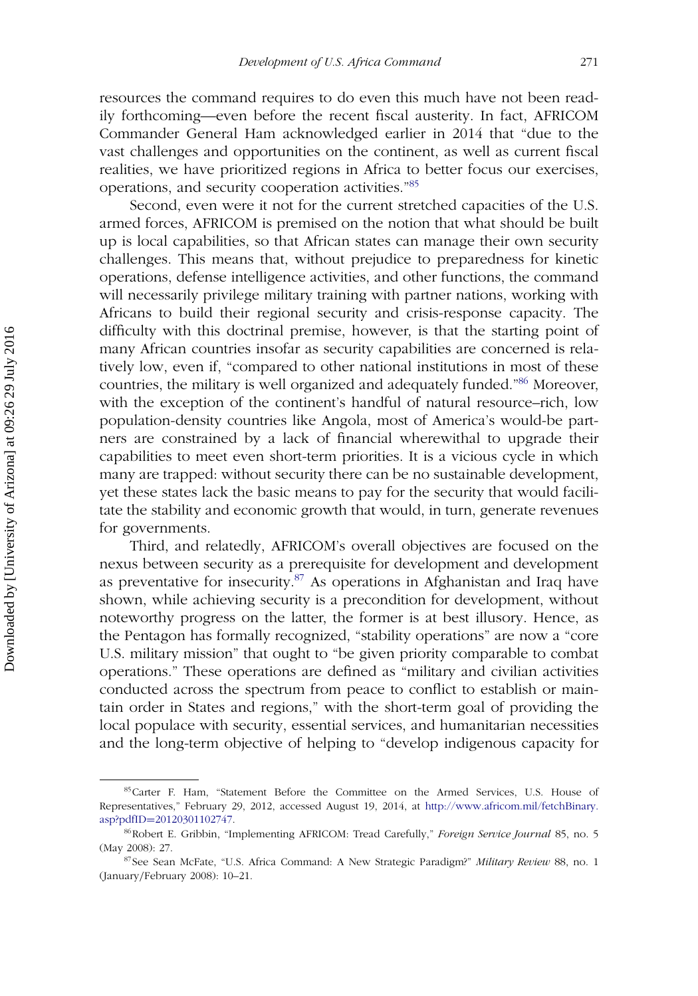resources the command requires to do even this much have not been readily forthcoming—even before the recent fiscal austerity. In fact, AFRICOM Commander General Ham acknowledged earlier in 2014 that "due to the vast challenges and opportunities on the continent, as well as current fiscal realities, we have prioritized regions in Africa to better focus our exercises, operations, and security cooperation activities.["85](#page-27-0)

Second, even were it not for the current stretched capacities of the U.S. armed forces, AFRICOM is premised on the notion that what should be built up is local capabilities, so that African states can manage their own security challenges. This means that, without prejudice to preparedness for kinetic operations, defense intelligence activities, and other functions, the command will necessarily privilege military training with partner nations, working with Africans to build their regional security and crisis-response capacity. The difficulty with this doctrinal premise, however, is that the starting point of many African countries insofar as security capabilities are concerned is relatively low, even if, "compared to other national institutions in most of these countries, the military is well organized and adequately funded.["86](#page-27-1) Moreover, with the exception of the continent's handful of natural resource–rich, low population-density countries like Angola, most of America's would-be partners are constrained by a lack of financial wherewithal to upgrade their capabilities to meet even short-term priorities. It is a vicious cycle in which many are trapped: without security there can be no sustainable development, yet these states lack the basic means to pay for the security that would facilitate the stability and economic growth that would, in turn, generate revenues for governments.

Third, and relatedly, AFRICOM's overall objectives are focused on the nexus between security as a prerequisite for development and development as preventative for insecurity. $87$  As operations in Afghanistan and Iraq have shown, while achieving security is a precondition for development, without noteworthy progress on the latter, the former is at best illusory. Hence, as the Pentagon has formally recognized, "stability operations" are now a "core U.S. military mission" that ought to "be given priority comparable to combat operations." These operations are defined as "military and civilian activities conducted across the spectrum from peace to conflict to establish or maintain order in States and regions," with the short-term goal of providing the local populace with security, essential services, and humanitarian necessities and the long-term objective of helping to "develop indigenous capacity for

<sup>85</sup>Carter F. Ham, "Statement Before the Committee on the Armed Services, U.S. House of Representatives," February 29, 2012, accessed August 19, 2014, at [http://www.africom.mil/fetchBinary.](http://www.africom.mil/fetchBinary.asp?pdfID=20120301102747) asp?pdfID=[20120301102747.](http://www.africom.mil/fetchBinary.asp?pdfID=20120301102747) 86Robert E. Gribbin, "Implementing AFRICOM: Tread Carefully," *Foreign Service Journal* 85, no. 5

<span id="page-27-0"></span><sup>(</sup>May 2008): 27.

<span id="page-27-2"></span><span id="page-27-1"></span><sup>87</sup>See Sean McFate, "U.S. Africa Command: A New Strategic Paradigm?" *Military Review* 88, no. 1 (January*/*February 2008): 10–21.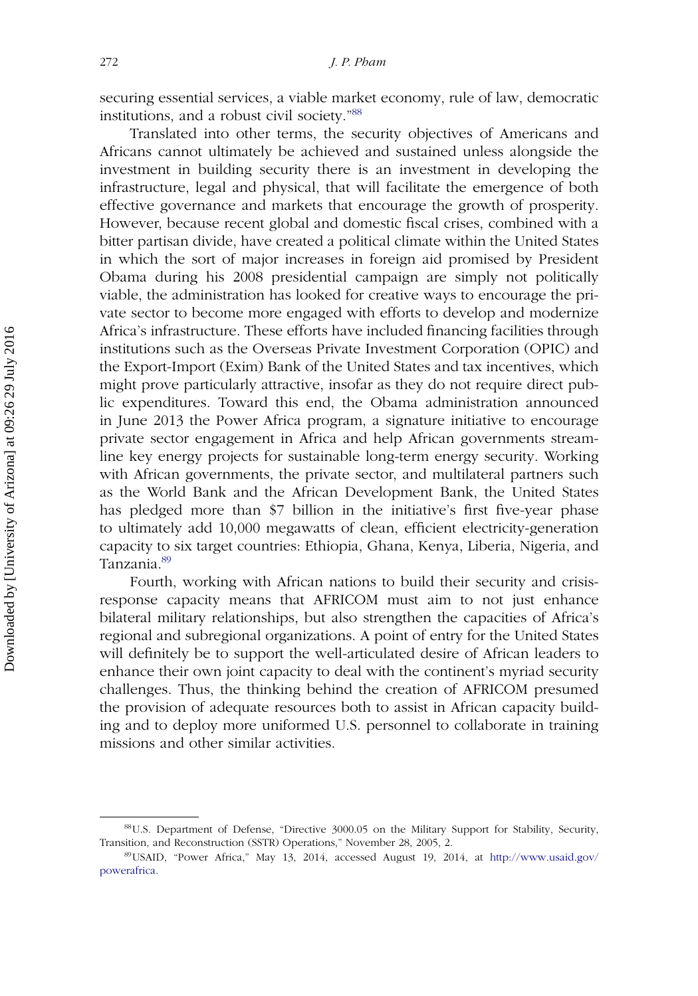securing essential services, a viable market economy, rule of law, democratic institutions, and a robust civil society.["88](#page-28-0)

Translated into other terms, the security objectives of Americans and Africans cannot ultimately be achieved and sustained unless alongside the investment in building security there is an investment in developing the infrastructure, legal and physical, that will facilitate the emergence of both effective governance and markets that encourage the growth of prosperity. However, because recent global and domestic fiscal crises, combined with a bitter partisan divide, have created a political climate within the United States in which the sort of major increases in foreign aid promised by President Obama during his 2008 presidential campaign are simply not politically viable, the administration has looked for creative ways to encourage the private sector to become more engaged with efforts to develop and modernize Africa's infrastructure. These efforts have included financing facilities through institutions such as the Overseas Private Investment Corporation (OPIC) and the Export-Import (Exim) Bank of the United States and tax incentives, which might prove particularly attractive, insofar as they do not require direct public expenditures. Toward this end, the Obama administration announced in June 2013 the Power Africa program, a signature initiative to encourage private sector engagement in Africa and help African governments streamline key energy projects for sustainable long-term energy security. Working with African governments, the private sector, and multilateral partners such as the World Bank and the African Development Bank, the United States has pledged more than \$7 billion in the initiative's first five-year phase to ultimately add 10,000 megawatts of clean, efficient electricity-generation capacity to six target countries: Ethiopia, Ghana, Kenya, Liberia, Nigeria, and Tanzania[.89](#page-28-1)

Fourth, working with African nations to build their security and crisisresponse capacity means that AFRICOM must aim to not just enhance bilateral military relationships, but also strengthen the capacities of Africa's regional and subregional organizations. A point of entry for the United States will definitely be to support the well-articulated desire of African leaders to enhance their own joint capacity to deal with the continent's myriad security challenges. Thus, the thinking behind the creation of AFRICOM presumed the provision of adequate resources both to assist in African capacity building and to deploy more uniformed U.S. personnel to collaborate in training missions and other similar activities.

<sup>88</sup>U.S. Department of Defense, "Directive 3000.05 on the Military Support for Stability, Security, Transition, and Reconstruction (SSTR) Operations," November 28, 2005, 2.

<span id="page-28-1"></span><span id="page-28-0"></span><sup>89</sup>USAID, "Power Africa," May 13, 2014, accessed August 19, 2014, at [http://www.usaid.gov/](http://www.usaid.gov/powerafrica) [powerafrica.](http://www.usaid.gov/powerafrica)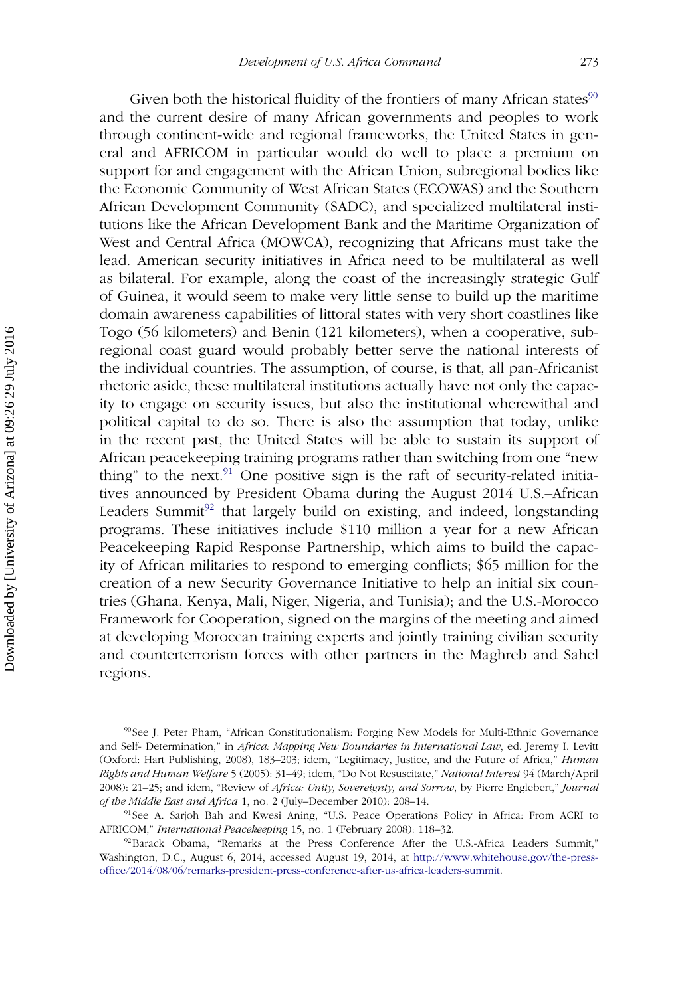Given both the historical fluidity of the frontiers of many African states<sup>90</sup> and the current desire of many African governments and peoples to work through continent-wide and regional frameworks, the United States in general and AFRICOM in particular would do well to place a premium on support for and engagement with the African Union, subregional bodies like the Economic Community of West African States (ECOWAS) and the Southern African Development Community (SADC), and specialized multilateral institutions like the African Development Bank and the Maritime Organization of West and Central Africa (MOWCA), recognizing that Africans must take the lead. American security initiatives in Africa need to be multilateral as well as bilateral. For example, along the coast of the increasingly strategic Gulf of Guinea, it would seem to make very little sense to build up the maritime domain awareness capabilities of littoral states with very short coastlines like Togo (56 kilometers) and Benin (121 kilometers), when a cooperative, subregional coast guard would probably better serve the national interests of the individual countries. The assumption, of course, is that, all pan-Africanist rhetoric aside, these multilateral institutions actually have not only the capacity to engage on security issues, but also the institutional wherewithal and political capital to do so. There is also the assumption that today, unlike in the recent past, the United States will be able to sustain its support of African peacekeeping training programs rather than switching from one "new thing" to the next.<sup>91</sup> One positive sign is the raft of security-related initiatives announced by President Obama during the August 2014 U.S.–African Leaders Summit $92$  that largely build on existing, and indeed, longstanding programs. These initiatives include \$110 million a year for a new African Peacekeeping Rapid Response Partnership, which aims to build the capacity of African militaries to respond to emerging conflicts; \$65 million for the creation of a new Security Governance Initiative to help an initial six countries (Ghana, Kenya, Mali, Niger, Nigeria, and Tunisia); and the U.S.-Morocco Framework for Cooperation, signed on the margins of the meeting and aimed at developing Moroccan training experts and jointly training civilian security and counterterrorism forces with other partners in the Maghreb and Sahel regions.

<sup>90</sup>See J. Peter Pham, "African Constitutionalism: Forging New Models for Multi-Ethnic Governance and Self- Determination," in *Africa: Mapping New Boundaries in International Law*, ed. Jeremy I. Levitt (Oxford: Hart Publishing, 2008), 183–203; idem, "Legitimacy, Justice, and the Future of Africa," *Human Rights and Human Welfare* 5 (2005): 31–49; idem, "Do Not Resuscitate," *National Interest* 94 (March*/*April 2008): 21–25; and idem, "Review of *Africa: Unity, Sovereignty, and Sorrow*, by Pierre Englebert," *Journal of the Middle East and Africa* 1, no. 2 (July–December 2010): 208–14.

<span id="page-29-0"></span><sup>91</sup>See A. Sarjoh Bah and Kwesi Aning, "U.S. Peace Operations Policy in Africa: From ACRI to AFRICOM," *International Peacekeeping* 15, no. 1 (February 2008): 118–32.

<span id="page-29-2"></span><span id="page-29-1"></span><sup>92</sup>Barack Obama, "Remarks at the Press Conference After the U.S.-Africa Leaders Summit," Washington, D.C., August 6, 2014, accessed August 19, 2014, at [http://www.whitehouse.gov/the-press](http://www.whitehouse.gov/the-press-office/2014/08/06/remarks-president-press-conference-after-us-africa-leaders-summit)[office/2014/08/06/remarks-president-press-conference-after-us-africa-leaders-summit.](http://www.whitehouse.gov/the-press-office/2014/08/06/remarks-president-press-conference-after-us-africa-leaders-summit)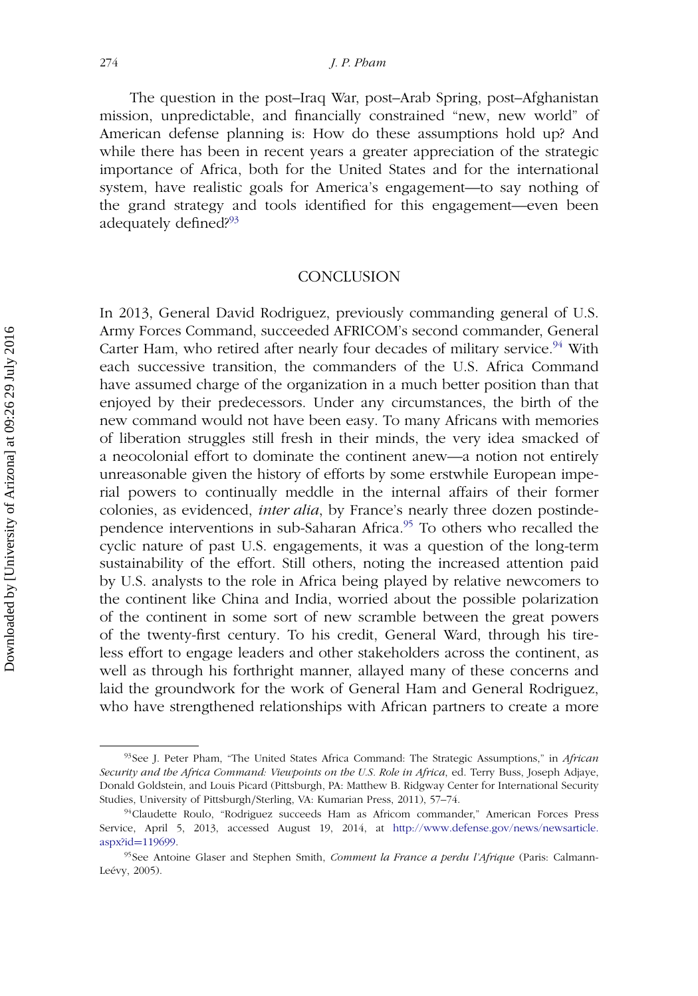The question in the post–Iraq War, post–Arab Spring, post–Afghanistan mission, unpredictable, and financially constrained "new, new world" of American defense planning is: How do these assumptions hold up? And while there has been in recent years a greater appreciation of the strategic importance of Africa, both for the United States and for the international system, have realistic goals for America's engagement—to say nothing of the grand strategy and tools identified for this engagement—even been adequately defined?<sup>93</sup>

# **CONCLUSION**

In 2013, General David Rodriguez, previously commanding general of U.S. Army Forces Command, succeeded AFRICOM's second commander, General Carter Ham, who retired after nearly four decades of military service.<sup>94</sup> With each successive transition, the commanders of the U.S. Africa Command have assumed charge of the organization in a much better position than that enjoyed by their predecessors. Under any circumstances, the birth of the new command would not have been easy. To many Africans with memories of liberation struggles still fresh in their minds, the very idea smacked of a neocolonial effort to dominate the continent anew—a notion not entirely unreasonable given the history of efforts by some erstwhile European imperial powers to continually meddle in the internal affairs of their former colonies, as evidenced, *inter alia*, by France's nearly three dozen postindependence interventions in sub-Saharan Africa.<sup>95</sup> To others who recalled the cyclic nature of past U.S. engagements, it was a question of the long-term sustainability of the effort. Still others, noting the increased attention paid by U.S. analysts to the role in Africa being played by relative newcomers to the continent like China and India, worried about the possible polarization of the continent in some sort of new scramble between the great powers of the twenty-first century. To his credit, General Ward, through his tireless effort to engage leaders and other stakeholders across the continent, as well as through his forthright manner, allayed many of these concerns and laid the groundwork for the work of General Ham and General Rodriguez, who have strengthened relationships with African partners to create a more

<sup>93</sup>See J. Peter Pham, "The United States Africa Command: The Strategic Assumptions," in *African Security and the Africa Command: Viewpoints on the U.S. Role in Africa*, ed. Terry Buss, Joseph Adjaye, Donald Goldstein, and Louis Picard (Pittsburgh, PA: Matthew B. Ridgway Center for International Security Studies, University of Pittsburgh*/*Sterling, VA: Kumarian Press, 2011), 57–74.

<span id="page-30-0"></span><sup>94</sup>Claudette Roulo, "Rodriguez succeeds Ham as Africom commander," American Forces Press Service, April 5, 2013, accessed August 19, 2014, at [http://www.defense.gov/news/newsarticle.](http://www.defense.gov/news/newsarticle.aspx?id=119699) aspx?id=[119699.](http://www.defense.gov/news/newsarticle.aspx?id=119699)

<span id="page-30-2"></span><span id="page-30-1"></span><sup>95</sup>See Antoine Glaser and Stephen Smith, *Comment la France a perdu l'Afrique* (Paris: Calmann-Leévy, 2005).